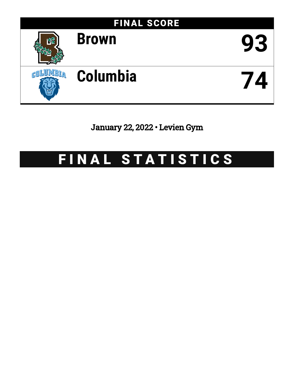

January 22, 2022 • Levien Gym

# FINAL STATISTICS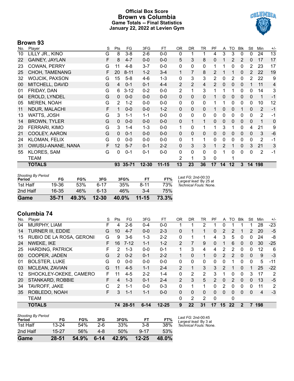### **Official Box Score Brown vs Columbia Game Totals -- Final Statistics January 22, 2022 at Levien Gym**



# **Brown 93**

| No. | Player                | S | Pts            | FG        | 3FG       | FT.       | <b>OR</b>      | <b>DR</b>      | <b>TR</b>      | PF             | A  | <b>TO</b>    | <b>Blk</b>   | Stl            | Min            | $+/-$ |
|-----|-----------------------|---|----------------|-----------|-----------|-----------|----------------|----------------|----------------|----------------|----|--------------|--------------|----------------|----------------|-------|
| 10  | LILLY JR., KINO       | G | 8              | $3 - 8$   | $2-6$     | $0 - 0$   | 0              | 1              | 1              | 4              | 3  | 3            | $\mathbf{0}$ | 0              | 24             | 13    |
| 22  | <b>GAINEY, JAYLAN</b> | F | 8              | $4 - 7$   | $0-0$     | $0-0$     | 5              | 3              | 8              | 0              |    | 2            | 2            | 0              | 17             | 17    |
| 23  | COWAN, PERRY          | G | 11             | $4 - 8$   | $3 - 7$   | $0-0$     | 0              | 0              | 0              | 1              | 1  | 0            | 0            | 2              | 23             | 17    |
| 25  | CHOH, TAMENANG        | F | 20             | $8 - 11$  | $1 - 2$   | $3 - 4$   | 1              | 7              | 8              | 2              |    | 1            | $\mathbf{0}$ | $\overline{2}$ | 22             | 19    |
| 32  | WOJCIK, PAXSON        | G | 15             | $5 - 8$   | $4-6$     | $1 - 3$   | 0              | 3              | 3              | $\overline{2}$ | 0  | 2            | 0            | 2              | 22             | 9     |
| 00  | MITCHELL, DAVID       | G | $\overline{4}$ | $0 - 1$   | $0 - 1$   | $4 - 4$   | 2              | $\overline{2}$ | $\overline{4}$ | $\overline{2}$ | 0  | 0            | 0            |                | 11             | 4     |
| 01  | FRIDAY, DAN           | G | 6              | $3 - 12$  | $0 - 2$   | $0-0$     | 2              | 1              | 3              |                |    |              | $\mathbf{0}$ | 0              | 14             | 3     |
| 04  | EROLD, LYNDEL         | G | 0              | $0-0$     | $0 - 0$   | $0 - 0$   | $\mathbf{0}$   | 0              | $\Omega$       | 1              | 0  | 0            | $\mathbf{0}$ | 0              | 1              | $-1$  |
| 05  | <b>MEREN, NOAH</b>    | G | 2              | $1 - 2$   | $0-0$     | $0-0$     | 0              | 0              | 0              |                | 1  | 0            | 0            | 0              | 10             | 12    |
| 11  | <b>NDUR, MALACHI</b>  | F | 1              | $0-0$     | $0-0$     | $1 - 2$   | $\mathbf{0}$   | $\mathbf 0$    | $\mathbf 0$    | 1.             | 0  | $\Omega$     | 1            | $\mathbf{0}$   | 2              | $-1$  |
| 13  | WATTS, JOSH           | G | 3              | $1 - 1$   | $1 - 1$   | $0-0$     | 0              | 0              | 0              | 0              | 0  | 0            | 0            | 0              | $\overline{2}$ | -1    |
| 14  | <b>BROWN, TYLER</b>   | G | $\mathbf{0}$   | $0-0$     | $0-0$     | $0-0$     | $\Omega$       | 1              | $\mathbf{1}$   | 0              | 0  | 0            | $\mathbf{0}$ | $\mathbf 0$    | $\mathbf 1$    | 0     |
| 20  | FERRARI, KIMO         | G | 3              | $1 - 4$   | 1-3       | $0-0$     | 1              | 0              | 1              |                | 3  |              | 0            | 4              | 21             | 9     |
| 21  | COOLEY, AARON         | G | $\Omega$       | $0 - 1$   | $0 - 0$   | $0 - 0$   | $\mathbf{0}$   | $\mathbf{0}$   | $\Omega$       | 0              | 0  | $\mathbf{0}$ | $\mathbf{0}$ | 0              | 3              | $-6$  |
| 24  | <b>KLOMAN, FELIX</b>  | G | 0              | $0 - 0$   | $0 - 0$   | $0 - 0$   | 0              | 1              | 1              | 0              | 0  | 0            | 0            | $\mathbf{0}$   | 2              | $-1$  |
| 31  | OWUSU-ANANE, NANA     | F | 12             | $5 - 7$   | $0 - 1$   | $2 - 2$   | $\Omega$       | 3              | 3              |                | 2  |              | $\Omega$     | 3              | 21             | 3     |
| 55  | <b>KLORES, SAM</b>    | G | $\Omega$       | $0 - 1$   | $0 - 1$   | $0-0$     | $\Omega$       | 0              | 0              | 0              | 1  | 0            | $\Omega$     | $\Omega$       | 2              | $-1$  |
|     | TEAM                  |   |                |           |           |           | $\overline{2}$ | 1              | 3              | 0              |    | 1            |              |                |                |       |
|     | <b>TOTALS</b>         |   | 93             | $35 - 71$ | $12 - 30$ | $11 - 15$ | 13             | 23             | 36             | 17             | 14 | 12           | 3            | 14             | 198            |       |

| <b>Shooting By Period</b> |           |       |           |          |           |       |                                              |
|---------------------------|-----------|-------|-----------|----------|-----------|-------|----------------------------------------------|
| Period                    | FG        | FG%   | 3FG       | 3FG%     | FT        | FT%   | Last FG: 2nd-00:33<br>Largest lead: By 25 at |
| 1st Half                  | 19-36     | .53%  | հ-17      | 35%      | $8 - 11$  | 73%   | Technical Fouls: None.                       |
| 2nd Half                  | $16 - 35$ | 46%   | 6-13      | 46%      | $3 - 4$   | 75%   |                                              |
| Game                      | $35 - 71$ | 49.3% | $12 - 30$ | $40.0\%$ | $11 - 15$ | 73.3% |                                              |

## **Columbia 74**

|     | VVIUIIINIU I T           |    |                |          |          |           |              |           |                |              |          |               |              |              |     |       |
|-----|--------------------------|----|----------------|----------|----------|-----------|--------------|-----------|----------------|--------------|----------|---------------|--------------|--------------|-----|-------|
| No. | Player                   | S  | Pts            | FG       | 3FG      | FT        | 0R           | <b>DR</b> | TR             | РF           | A        | TO            | <b>B</b> lk  | Stl          | Min | $+/-$ |
| 04  | <b>MURPHY, LIAM</b>      |    | 4              | $2 - 6$  | $0 - 4$  | $0 - 0$   |              |           | 2              |              | 0        |               |              |              | 28  | $-23$ |
| 14  | <b>TURNER III, EDDIE</b> | G  | 10             | $4 - 7$  | $0 - 0$  | $2 - 3$   | $\Omega$     | 1         | 1              | $\mathbf{0}$ | 2        | 2             |              | 2            | 20  | $-5$  |
| 15  | RUBIO DE LA ROSA, GERONI | G  | 9              | $3-6$    | 1-3      | $2 - 2$   | $\mathbf{0}$ | 1         | 1              | 4            | 3        | 5             | 0            | 0            | 24  | -8    |
| 24  | NWEKE, IKE               | F. | 16             | $7 - 12$ | $1 - 1$  | $1 - 2$   | 2            | 7         | 9              | $\Omega$     |          | 6             | $\mathbf{0}$ | $\mathbf{0}$ | 30  | $-25$ |
| 25  | <b>HARDING, PATRICK</b>  | F  | 2              | $1 - 3$  | $0 - 0$  | $0 - 1$   | 1            | 3         | 4              | 4            | 2        | 2             | 0            | 0            | 12  | 6     |
| 00  | COOPER, JADEN            | G  | $\mathcal{P}$  | $0 - 2$  | $0 - 1$  | $2 - 2$   | 1            | 0         | $\mathbf 1$    | $\Omega$     | 2        | $\mathcal{P}$ | $\mathbf{0}$ | $\mathbf{0}$ | 9   | $-3$  |
| 01  | <b>BOLSTER, LUKE</b>     | G  | 0              | $0 - 0$  | $0 - 0$  | $0 - 0$   | $\mathbf{0}$ | 0         | $\mathbf{0}$   | 0            | 0        |               | 0            | $\Omega$     | 5   | -11   |
| 03  | MCLEAN, ZAVIAN           | G  | 11             | $4 - 5$  | $1 - 1$  | $2 - 4$   | 2            | 1         | 3              | 3            | 2        |               | $\mathbf{0}$ |              | 25  | $-22$ |
| 12  | SHOCKLEY-OKEKE, CAMERO   | F. | 11             | 4-5      | $2 - 2$  | 1-4       | $\mathbf{0}$ | 2         | $\overline{2}$ | 3            |          | 0             | 0            | 3            | 17  | 2     |
| 20  | STANKARD, ROBBIE         | F. | $\overline{4}$ | $1 - 3$  | $0 - 1$  | $2 - 4$   | 2            | 3         | 5              | 2            | $\Omega$ | 2             | $\Omega$     | 0            | 13  | $-5$  |
| 34  | <b>TAVROFF, JAKE</b>     | C  | 2              | $1 - 1$  | $0 - 0$  | $0 - 3$   | $\Omega$     | 1         | 1              | 0            | 2        | 0             | $\Omega$     | $\Omega$     | 11  | 2     |
| 35  | ROBLEDO, NOAH            | F  | 3              | $1 - 1$  | $1 - 1$  | $0 - 0$   | $\mathbf{0}$ | $\Omega$  | $\Omega$       | $\Omega$     | $\Omega$ | 0             | $\Omega$     | $\Omega$     | 4   | $-3$  |
|     | <b>TEAM</b>              |    |                |          |          |           | 0            | 2         | 2              | $\mathbf 0$  |          | 0             |              |              |     |       |
|     | <b>TOTALS</b>            |    |                | 74 28-51 | $6 - 14$ | $12 - 25$ | 9            | 22        | 31             | 17           | 15       | 22            | $\mathbf 2$  | 7            | 198 |       |
|     | Chastine Du Devisel      |    |                |          |          |           |              |           |                |              |          |               |              |              |     |       |

| Game                         | 28-51 | 54.9% | $6 - 14$ | 42.9% | $12 - 25$ | <b>48.0%</b> |                                             |
|------------------------------|-------|-------|----------|-------|-----------|--------------|---------------------------------------------|
| 2nd Half                     | 15-27 | 56%   | 4-8      | 50%   | $9 - 17$  | 53%          |                                             |
| 1st Half                     | 13-24 | 54%   | $2-6$    | 33%   | $3 - 8$   | 38%          | Technical Fouls: None.                      |
| Shooting By Period<br>Period | FG    | FG%   | 3FG      | 3FG%  | FТ        | FT%          | Last FG: 2nd-00:45<br>Largest lead: By 3 at |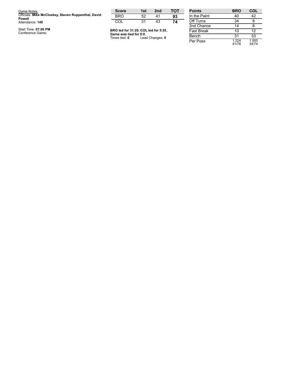| Game Notes:                                                   | <b>Score</b>                            | 1st | 2 <sub>nd</sub> | тот | <b>Points</b>     | <b>BRO</b>     | <b>COL</b>     |
|---------------------------------------------------------------|-----------------------------------------|-----|-----------------|-----|-------------------|----------------|----------------|
| Officials: Mike McCloskey, Steven Ruppenthal, David<br>Powell | <b>BRO</b>                              | 52  | 41              | 93  | In the Paint      | 40             | 42             |
| Attendance: 140                                               | COL                                     | 31  | 43              | 74  | Off Turns         | 34             |                |
|                                                               |                                         |     |                 |     | 2nd Chance        | 14             |                |
| Start Time: 07:00 PM<br>Conference Game;                      | BRO led for 31:20. COL led for 5:55.    |     |                 |     | <b>Fast Break</b> | 10             | 12             |
|                                                               | Game was tied for 0:0.<br>Times tied: 0 |     | Lead Changes: 0 |     | Bench             | 31             | 33             |
|                                                               |                                         |     |                 |     | Per Poss          | 1.224<br>41/76 | 1.000<br>34/74 |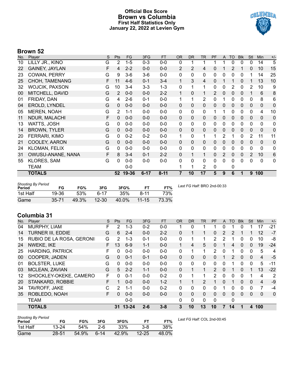### **Official Box Score Brown vs Columbia First Half Statistics Only January 22, 2022 at Levien Gym**



# **Brown 52**

| No. | Player                | S | Pts             | <b>FG</b> | 3FG      | <b>FT</b> | <b>OR</b>    | <b>DR</b>      | <b>TR</b>      | PF       | A            | TO | <b>Blk</b>   | Stl          | Min          | $+/-$       |
|-----|-----------------------|---|-----------------|-----------|----------|-----------|--------------|----------------|----------------|----------|--------------|----|--------------|--------------|--------------|-------------|
| 10  | LILLY JR., KINO       | G | $\overline{2}$  | $1 - 5$   | $0 - 3$  | $0-0$     | 0            | 1              |                |          | 1            | 0  | 0            | 0            | 14           | 5           |
| 22  | <b>GAINEY, JAYLAN</b> | F | 4               | $2 - 2$   | $0 - 0$  | $0-0$     | 2            | $\overline{2}$ | 4              | 0        | 1            | 2  |              | 0            | 10           | 15          |
| 23  | <b>COWAN, PERRY</b>   | G | 9               | $3-6$     | $3-6$    | $0-0$     | $\mathbf{0}$ | 0              | 0              | 0        | $\mathbf{0}$ | 0  | 0            |              | 14           | 25          |
| 25  | CHOH, TAMENANG        | F | 11              | $4-6$     | $0 - 1$  | $3 - 4$   | 1            | 3              | 4              | $\Omega$ | 1            | 1  | $\mathbf{0}$ | 1            | 13           | 10          |
| 32  | WOJCIK, PAXSON        | G | 10              | $3 - 4$   | $3 - 3$  | $1 - 3$   | $\mathbf{0}$ | 1              | $\mathbf{1}$   | 0        | 0            | 2  | 0            | 2            | 10           | 9           |
| 00  | MITCHELL, DAVID       | G | $\overline{2}$  | $0 - 0$   | $0-0$    | $2 - 2$   | 1            | 0              | 1              | 2        | $\mathbf 0$  | 0  | $\mathbf{0}$ |              | 6            | 8           |
| 01  | FRIDAY, DAN           | G | 4               | $2 - 6$   | $0 - 1$  | $0-0$     | 1            | 1              | $\overline{2}$ | 0        | 1            | 0  | 0            | 0            | 8            | 6           |
| 04  | EROLD, LYNDEL         | G | $\Omega$        | $0-0$     | $0 - 0$  | $0-0$     | $\Omega$     | $\Omega$       | $\mathbf{0}$   | 0        | $\Omega$     | 0  | 0            | $\Omega$     | $\mathbf 0$  | 0           |
| 05  | <b>MEREN, NOAH</b>    | G | $\overline{2}$  | $1 - 1$   | $0 - 0$  | $0 - 0$   | $\mathbf{0}$ | 0              | $\mathbf 0$    | 1        | 1            | 0  | 0            | 0            | 4            | 10          |
| 11  | NDUR, MALACHI         | F | $\Omega$        | $0 - 0$   | $0 - 0$  | $0 - 0$   | $\mathbf{0}$ | 0              | 0              | 0        | $\Omega$     | 0  | 0            | $\Omega$     | $\mathbf{0}$ | 0           |
| 13  | WATTS, JOSH           | G | 0               | $0-0$     | $0-0$    | $0-0$     | $\mathbf{0}$ | 0              | $\mathbf 0$    | 0        | $\mathbf{0}$ | 0  | $\mathbf{0}$ | $\mathbf{0}$ | 0            | 0           |
| 14  | <b>BROWN, TYLER</b>   | G | $\Omega$        | $0-0$     | $0 - 0$  | $0-0$     | $\Omega$     | $\Omega$       | 0              | 0        | $\Omega$     | 0  | $\mathbf{0}$ | $\Omega$     | $\mathbf 0$  | 0           |
| 20  | FERRARI, KIMO         | G | 0               | $0 - 2$   | $0 - 2$  | $0 - 0$   | $\mathbf{1}$ | 0              | $\mathbf{1}$   |          | 2            |    | 0            | 2            | 11           | 11          |
| 21  | COOLEY, AARON         | G | $\Omega$        | $0-0$     | $0 - 0$  | $0-0$     | $\mathbf{0}$ | 0              | 0              | 0        | 0            | 0  | 0            | $\Omega$     | $\mathbf{0}$ | 0           |
| 24  | <b>KLOMAN, FELIX</b>  | G | 0               | $0 - 0$   | $0-0$    | $0-0$     | $\mathbf{0}$ | 0              | 0              | 0        | $\mathbf{0}$ | 0  | 0            | 0            | $\mathbf{0}$ | 0           |
| 31  | OWUSU-ANANE, NANA     | F | 8               | $3 - 4$   | $0 - 1$  | $2 - 2$   | $\Omega$     | 1              | 1              | $\Omega$ | 2            | 0  | 0            | 2            | 10           | 6           |
| 55  | <b>KLORES, SAM</b>    | G | 0               | $0 - 0$   | $0 - 0$  | $0-0$     | 0            | 0              | $\mathbf{0}$   | 0        | $\Omega$     | 0  | $\Omega$     | $\Omega$     | $\mathbf 0$  | $\mathbf 0$ |
|     | TEAM                  |   |                 | $0 - 0$   |          |           | 1            | 1              | 2              | 0        |              | 0  |              |              |              |             |
|     | TOTALS                |   | 52 <sub>2</sub> | 19-36     | $6 - 17$ | $8 - 11$  | 7            | 10             | 17             | 5        | 9            | 6  | 1            | 9            | 100          |             |

| <b>Shooting By Period</b> |           |       |           |       |           |       |
|---------------------------|-----------|-------|-----------|-------|-----------|-------|
| <b>Period</b>             | FG        | FG%   | 3FG       | 3FG%  |           | FT%   |
| 1st Half                  | 19-36     | 53%   | հ-17      | 35%   | 8-11      | 73%   |
| Game                      | $35 - 71$ | 49.3% | $12 - 30$ | 40.0% | $11 - 15$ | 73.3% |

*Last FG Half:* BRO 2nd-00:33

# **Columbia 31**

|     | .                        |   |               |           |         |           |           |              |                |               |          |          |              |          |              |                |
|-----|--------------------------|---|---------------|-----------|---------|-----------|-----------|--------------|----------------|---------------|----------|----------|--------------|----------|--------------|----------------|
| No. | Plaver                   | S | <b>Pts</b>    | <b>FG</b> | 3FG     | <b>FT</b> | <b>OR</b> | <b>DR</b>    | TR             | PF            | A        | TO       | <b>Blk</b>   | Stl      | Min          | $+/-$          |
| 04  | <b>MURPHY, LIAM</b>      | F | 2             | $1 - 3$   | $0 - 2$ | $0 - 0$   |           | 0            |                |               | 0        |          | 0            |          | 17           | $-21$          |
| 14  | <b>TURNER III, EDDIE</b> | G | 6             | $2 - 4$   | $0 - 0$ | $2 - 2$   | 0         |              |                | 0             | 2        | 2        | 1            |          | 12           | $-7$           |
| 15  | RUBIO DE LA ROSA, GERONI | G | 2             | $1 - 3$   | $0 - 1$ | $0 - 0$   | 0         |              | 1              | 2             | 2        |          | 0            | 0        | 10           | -8             |
| 24  | NWEKE, IKE               | F | 13            | $6 - 9$   | $1 - 1$ | $0 - 0$   |           | 4            | 5              | $\Omega$      |          | 4        | 0            | $\Omega$ | 19           | $-24$          |
| 25  | <b>HARDING, PATRICK</b>  | F | 0             | $0 - 0$   | $0-0$   | $0 - 0$   | 0         |              |                | 2             | 0        |          | $\mathbf{0}$ | 0        | 5            | 4              |
| 00  | COOPER, JADEN            | G | 0             | $0 - 1$   | $0 - 1$ | $0 - 0$   | 0         | $\Omega$     | 0              | 0             |          | 2        | $\mathbf{0}$ | $\Omega$ | 4            | -5             |
| 01  | <b>BOLSTER, LUKE</b>     | G | 0             | $0 - 0$   | $0 - 0$ | $0 - 0$   | 0         | 0            | 0              | $\Omega$      | 0        |          | $\mathbf{0}$ | 0        | 5            | $-11$          |
| 03  | MCLEAN, ZAVIAN           | G | 5             | $2 - 2$   | $1 - 1$ | $0 - 0$   | $\Omega$  | 1            | 1              | $\mathcal{P}$ | $\Omega$ |          | $\Omega$     | 1        | 13           | $-22$          |
| 12  | SHOCKLEY-OKEKE, CAMERO   | F | 0             | $0 - 1$   | $0 - 0$ | $0 - 2$   | 0         |              |                | 2             | $\Omega$ | 0        | $\mathbf{0}$ |          | 4            | $\overline{2}$ |
| 20  | STANKARD, ROBBIE         | F | 1             | $0 - 0$   | $0 - 0$ | $1 - 2$   |           | 4            | $\overline{2}$ |               | $\Omega$ | 1        | $\Omega$     | $\Omega$ | 4            | $-9$           |
| 34  | TAVROFF, JAKE            | С | $\mathcal{P}$ | $1 - 1$   | $0 - 0$ | $0 - 2$   | 0         | $\mathbf{0}$ | $\mathbf{0}$   | 0             |          | 0        | $\mathbf{0}$ | 0        | 7            | $-4$           |
| 35  | ROBLEDO, NOAH            | F | 0             | $0 - 0$   | $0 - 0$ | $0 - 0$   | $\Omega$  | $\Omega$     | $\Omega$       | $\Omega$      | 0        | $\Omega$ | $\Omega$     | $\Omega$ | $\mathbf{0}$ | $\mathbf 0$    |
|     | <b>TEAM</b>              |   |               | $0 - 0$   |         |           | 0         | $\mathbf{0}$ | $\mathbf 0$    | $\Omega$      |          | 0        |              |          |              |                |
|     | <b>TOTALS</b>            |   | 31            | $13 - 24$ | $2 - 6$ | $3 - 8$   | 3         | 10           | 13             | 10            |          | 14       |              | 4        | 100          |                |

| <b>Shooting By Period</b> |       |       |          |       |           |       | La |
|---------------------------|-------|-------|----------|-------|-----------|-------|----|
| Period                    | FG    | FG%   | 3FG      | 3FG%  | FТ        | FT%   |    |
| 1st Half                  | 13-24 | 54%   | 2-6      | 33%   | $3 - 8$   | 38%   |    |
| Game                      | 28-51 | 54.9% | $6 - 14$ | 42.9% | $12 - 25$ | 48.0% |    |

*Last FG Half:* COL 2nd-00:45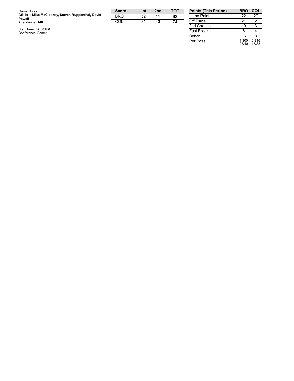| Game Notes:                                                   | <b>Score</b> | 1st | 2 <sub>nd</sub> | <b>TOT</b> | <b>Points (This Period)</b> |
|---------------------------------------------------------------|--------------|-----|-----------------|------------|-----------------------------|
| Officials: Mike McCloskey, Steven Ruppenthal, David<br>Powell | <b>BRO</b>   | 52  | 41              | 93         | In the Paint                |
| Attendance: 140                                               | COL          | 31  | 43              | 74         | Off Turns                   |
|                                                               |              |     |                 |            | 2nd Chance                  |
| Start Time: 07:00 PM<br>Conference Game;                      |              |     |                 |            | <b>Fast Break</b><br>$ -$   |

| <b>Points (This Period)</b> | BRO            | COL            |
|-----------------------------|----------------|----------------|
| In the Paint                | 22             | 20             |
| Off Turns                   | 21             | 2              |
| 2nd Chance                  | 10             | 3              |
| <b>Fast Break</b>           | հ              |                |
| Bench                       | 16             | Զ              |
| Per Poss                    | 1.300<br>23/40 | 0.816<br>15/38 |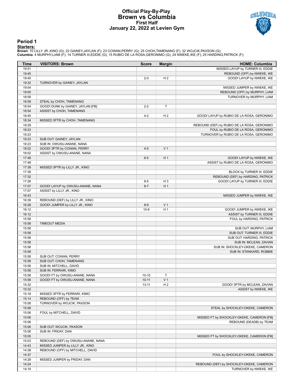#### **Official Play-By-Play Brown vs Columbia First Half January 22, 2022 at Levien Gym**



#### **Period 1**

| MISSED LAYUP by TURNER III, EDDIE<br>19:51<br>19:45<br>REBOUND (OFF) by NWEKE, IKE<br>19:45<br>$2 - 0$<br>H <sub>2</sub><br>GOOD! LAYUP by NWEKE, IKE<br>19:32<br>TURNOVER by GAINEY, JAYLAN<br>19:04<br>MISSED JUMPER by NWEKE, IKE<br>19:00<br>REBOUND (OFF) by MURPHY, LIAM<br>18:59<br>TURNOVER by MURPHY, LIAM<br>18:59<br>STEAL by CHOH, TAMENANG<br>$\mathsf T$<br>18:54<br>GOOD! DUNK by GAINEY, JAYLAN [FB]<br>$2 - 2$<br>18:54<br>ASSIST by CHOH, TAMENANG<br>18:45<br>H <sub>2</sub><br>$4 - 2$<br>GOOD! LAYUP by RUBIO DE LA ROSA, GERONIMO<br>18:34<br>MISSED 3PTR by CHOH, TAMENANG<br>18:29<br>REBOUND (DEF) by RUBIO DE LA ROSA, GERONIMO<br>18:23<br>FOUL by RUBIO DE LA ROSA, GERONIMO<br>18:23<br>TURNOVER by RUBIO DE LA ROSA, GERONIMO<br>18:23<br>SUB OUT: GAINEY, JAYLAN<br>18:23<br>SUB IN: OWUSU-ANANE, NANA<br>V <sub>1</sub><br>18:02<br>$4 - 5$<br>GOOD! 3PTR by COWAN, PERRY<br>18:02<br>ASSIST by OWUSU-ANANE, NANA<br>H1<br>17:48<br>$6 - 5$<br>GOOD! LAYUP by NWEKE, IKE<br>17:48<br>ASSIST by RUBIO DE LA ROSA, GERONIMO<br>17:39<br>MISSED 3PTR by LILLY JR., KINO<br>17:39<br>BLOCK by TURNER III, EDDIE<br>17:32<br>REBOUND (DEF) by HARDING, PATRICK<br>17:26<br>$8 - 5$<br>$H_3$<br>GOOD! LAYUP by TURNER III, EDDIE<br>$8 - 7$<br>H <sub>1</sub><br>17:07<br>GOOD! LAYUP by OWUSU-ANANE, NANA<br>17:07<br>ASSIST by LILLY JR., KINO<br>16:43<br>MISSED JUMPER by NWEKE, IKE<br>16:39<br>REBOUND (DEF) by LILLY JR., KINO<br>V <sub>1</sub><br>16:28<br>GOOD! JUMPER by LILLY JR., KINO<br>$8-9$<br>H <sub>1</sub><br>16:12<br>$10-9$<br>GOOD! JUMPER by NWEKE, IKE<br>16:12<br>ASSIST by TURNER III, EDDIE<br>15:58<br>FOUL by HARDING, PATRICK<br>15:58<br><b>TIMEOUT MEDIA</b><br>15:58<br>SUB OUT: MURPHY, LIAM<br>15:58<br>SUB OUT: TURNER III, EDDIE<br>15:58<br>SUB OUT: HARDING, PATRICK<br>15:58<br>SUB IN: MCLEAN, ZAVIAN<br>15:58<br>SUB IN: SHOCKLEY-OKEKE, CAMERON<br>15:58<br>SUB IN: STANKARD, ROBBIE<br>15:58<br>SUB OUT: COWAN, PERRY<br>15:58<br>SUB OUT: CHOH, TAMENANG<br>15:58<br>SUB IN: MITCHELL, DAVID<br>15:58<br>SUB IN: FERRARI, KIMO<br>15:58<br>GOOD! FT by OWUSU-ANANE, NANA<br>10-10<br>T<br>V <sub>1</sub><br>15:58<br>GOOD! FT by OWUSU-ANANE, NANA<br>$10 - 11$<br>15:32<br>H <sub>2</sub><br>$13 - 11$<br>GOOD! 3PTR by MCLEAN, ZAVIAN<br>15:32<br>ASSIST by NWEKE, IKE<br>15:18<br>MISSED 3PTR by FERRARI, KIMO<br>15:14<br>REBOUND (OFF) by TEAM<br>15:08<br>TURNOVER by WOJCIK, PAXSON<br>15:08<br>STEAL by SHOCKLEY-OKEKE, CAMERON<br>15:06<br>FOUL by MITCHELL, DAVID<br>15:06<br>MISSED FT by SHOCKLEY-OKEKE, CAMERON [FB]<br>REBOUND (DEADB) by TEAM<br>15:06<br>15:06<br>SUB OUT: WOJCIK, PAXSON<br>15:06<br>SUB IN: FRIDAY, DAN<br>15:05<br>MISSED FT by SHOCKLEY-OKEKE, CAMERON [FB]<br>15:03<br>REBOUND (DEF) by OWUSU-ANANE, NANA<br>14:43<br>MISSED JUMPER by LILLY JR., KINO<br>14:38<br>REBOUND (OFF) by MITCHELL, DAVID<br>14:37<br>FOUL by SHOCKLEY-OKEKE, CAMERON<br>14:29<br>MISSED JUMPER by FRIDAY, DAN<br>14:24<br>REBOUND (DEF) by SHOCKLEY-OKEKE, CAMERON<br>14:19<br>TURNOVER by NWEKE, IKE | Time | <b>VISITORS: Brown</b> | <b>Score</b> | <b>Margin</b> | <b>HOME: Columbia</b> |
|-----------------------------------------------------------------------------------------------------------------------------------------------------------------------------------------------------------------------------------------------------------------------------------------------------------------------------------------------------------------------------------------------------------------------------------------------------------------------------------------------------------------------------------------------------------------------------------------------------------------------------------------------------------------------------------------------------------------------------------------------------------------------------------------------------------------------------------------------------------------------------------------------------------------------------------------------------------------------------------------------------------------------------------------------------------------------------------------------------------------------------------------------------------------------------------------------------------------------------------------------------------------------------------------------------------------------------------------------------------------------------------------------------------------------------------------------------------------------------------------------------------------------------------------------------------------------------------------------------------------------------------------------------------------------------------------------------------------------------------------------------------------------------------------------------------------------------------------------------------------------------------------------------------------------------------------------------------------------------------------------------------------------------------------------------------------------------------------------------------------------------------------------------------------------------------------------------------------------------------------------------------------------------------------------------------------------------------------------------------------------------------------------------------------------------------------------------------------------------------------------------------------------------------------------------------------------------------------------------------------------------------------------------------------------------------------------------------------------------------------------------------------------------------------------------------------------------------------------------------------------------------------------------------------------------------------------------------------------------------------------------------------------------------------------------------------------------------------------|------|------------------------|--------------|---------------|-----------------------|
|                                                                                                                                                                                                                                                                                                                                                                                                                                                                                                                                                                                                                                                                                                                                                                                                                                                                                                                                                                                                                                                                                                                                                                                                                                                                                                                                                                                                                                                                                                                                                                                                                                                                                                                                                                                                                                                                                                                                                                                                                                                                                                                                                                                                                                                                                                                                                                                                                                                                                                                                                                                                                                                                                                                                                                                                                                                                                                                                                                                                                                                                                               |      |                        |              |               |                       |
|                                                                                                                                                                                                                                                                                                                                                                                                                                                                                                                                                                                                                                                                                                                                                                                                                                                                                                                                                                                                                                                                                                                                                                                                                                                                                                                                                                                                                                                                                                                                                                                                                                                                                                                                                                                                                                                                                                                                                                                                                                                                                                                                                                                                                                                                                                                                                                                                                                                                                                                                                                                                                                                                                                                                                                                                                                                                                                                                                                                                                                                                                               |      |                        |              |               |                       |
|                                                                                                                                                                                                                                                                                                                                                                                                                                                                                                                                                                                                                                                                                                                                                                                                                                                                                                                                                                                                                                                                                                                                                                                                                                                                                                                                                                                                                                                                                                                                                                                                                                                                                                                                                                                                                                                                                                                                                                                                                                                                                                                                                                                                                                                                                                                                                                                                                                                                                                                                                                                                                                                                                                                                                                                                                                                                                                                                                                                                                                                                                               |      |                        |              |               |                       |
|                                                                                                                                                                                                                                                                                                                                                                                                                                                                                                                                                                                                                                                                                                                                                                                                                                                                                                                                                                                                                                                                                                                                                                                                                                                                                                                                                                                                                                                                                                                                                                                                                                                                                                                                                                                                                                                                                                                                                                                                                                                                                                                                                                                                                                                                                                                                                                                                                                                                                                                                                                                                                                                                                                                                                                                                                                                                                                                                                                                                                                                                                               |      |                        |              |               |                       |
|                                                                                                                                                                                                                                                                                                                                                                                                                                                                                                                                                                                                                                                                                                                                                                                                                                                                                                                                                                                                                                                                                                                                                                                                                                                                                                                                                                                                                                                                                                                                                                                                                                                                                                                                                                                                                                                                                                                                                                                                                                                                                                                                                                                                                                                                                                                                                                                                                                                                                                                                                                                                                                                                                                                                                                                                                                                                                                                                                                                                                                                                                               |      |                        |              |               |                       |
|                                                                                                                                                                                                                                                                                                                                                                                                                                                                                                                                                                                                                                                                                                                                                                                                                                                                                                                                                                                                                                                                                                                                                                                                                                                                                                                                                                                                                                                                                                                                                                                                                                                                                                                                                                                                                                                                                                                                                                                                                                                                                                                                                                                                                                                                                                                                                                                                                                                                                                                                                                                                                                                                                                                                                                                                                                                                                                                                                                                                                                                                                               |      |                        |              |               |                       |
|                                                                                                                                                                                                                                                                                                                                                                                                                                                                                                                                                                                                                                                                                                                                                                                                                                                                                                                                                                                                                                                                                                                                                                                                                                                                                                                                                                                                                                                                                                                                                                                                                                                                                                                                                                                                                                                                                                                                                                                                                                                                                                                                                                                                                                                                                                                                                                                                                                                                                                                                                                                                                                                                                                                                                                                                                                                                                                                                                                                                                                                                                               |      |                        |              |               |                       |
|                                                                                                                                                                                                                                                                                                                                                                                                                                                                                                                                                                                                                                                                                                                                                                                                                                                                                                                                                                                                                                                                                                                                                                                                                                                                                                                                                                                                                                                                                                                                                                                                                                                                                                                                                                                                                                                                                                                                                                                                                                                                                                                                                                                                                                                                                                                                                                                                                                                                                                                                                                                                                                                                                                                                                                                                                                                                                                                                                                                                                                                                                               |      |                        |              |               |                       |
|                                                                                                                                                                                                                                                                                                                                                                                                                                                                                                                                                                                                                                                                                                                                                                                                                                                                                                                                                                                                                                                                                                                                                                                                                                                                                                                                                                                                                                                                                                                                                                                                                                                                                                                                                                                                                                                                                                                                                                                                                                                                                                                                                                                                                                                                                                                                                                                                                                                                                                                                                                                                                                                                                                                                                                                                                                                                                                                                                                                                                                                                                               |      |                        |              |               |                       |
|                                                                                                                                                                                                                                                                                                                                                                                                                                                                                                                                                                                                                                                                                                                                                                                                                                                                                                                                                                                                                                                                                                                                                                                                                                                                                                                                                                                                                                                                                                                                                                                                                                                                                                                                                                                                                                                                                                                                                                                                                                                                                                                                                                                                                                                                                                                                                                                                                                                                                                                                                                                                                                                                                                                                                                                                                                                                                                                                                                                                                                                                                               |      |                        |              |               |                       |
|                                                                                                                                                                                                                                                                                                                                                                                                                                                                                                                                                                                                                                                                                                                                                                                                                                                                                                                                                                                                                                                                                                                                                                                                                                                                                                                                                                                                                                                                                                                                                                                                                                                                                                                                                                                                                                                                                                                                                                                                                                                                                                                                                                                                                                                                                                                                                                                                                                                                                                                                                                                                                                                                                                                                                                                                                                                                                                                                                                                                                                                                                               |      |                        |              |               |                       |
|                                                                                                                                                                                                                                                                                                                                                                                                                                                                                                                                                                                                                                                                                                                                                                                                                                                                                                                                                                                                                                                                                                                                                                                                                                                                                                                                                                                                                                                                                                                                                                                                                                                                                                                                                                                                                                                                                                                                                                                                                                                                                                                                                                                                                                                                                                                                                                                                                                                                                                                                                                                                                                                                                                                                                                                                                                                                                                                                                                                                                                                                                               |      |                        |              |               |                       |
|                                                                                                                                                                                                                                                                                                                                                                                                                                                                                                                                                                                                                                                                                                                                                                                                                                                                                                                                                                                                                                                                                                                                                                                                                                                                                                                                                                                                                                                                                                                                                                                                                                                                                                                                                                                                                                                                                                                                                                                                                                                                                                                                                                                                                                                                                                                                                                                                                                                                                                                                                                                                                                                                                                                                                                                                                                                                                                                                                                                                                                                                                               |      |                        |              |               |                       |
|                                                                                                                                                                                                                                                                                                                                                                                                                                                                                                                                                                                                                                                                                                                                                                                                                                                                                                                                                                                                                                                                                                                                                                                                                                                                                                                                                                                                                                                                                                                                                                                                                                                                                                                                                                                                                                                                                                                                                                                                                                                                                                                                                                                                                                                                                                                                                                                                                                                                                                                                                                                                                                                                                                                                                                                                                                                                                                                                                                                                                                                                                               |      |                        |              |               |                       |
|                                                                                                                                                                                                                                                                                                                                                                                                                                                                                                                                                                                                                                                                                                                                                                                                                                                                                                                                                                                                                                                                                                                                                                                                                                                                                                                                                                                                                                                                                                                                                                                                                                                                                                                                                                                                                                                                                                                                                                                                                                                                                                                                                                                                                                                                                                                                                                                                                                                                                                                                                                                                                                                                                                                                                                                                                                                                                                                                                                                                                                                                                               |      |                        |              |               |                       |
|                                                                                                                                                                                                                                                                                                                                                                                                                                                                                                                                                                                                                                                                                                                                                                                                                                                                                                                                                                                                                                                                                                                                                                                                                                                                                                                                                                                                                                                                                                                                                                                                                                                                                                                                                                                                                                                                                                                                                                                                                                                                                                                                                                                                                                                                                                                                                                                                                                                                                                                                                                                                                                                                                                                                                                                                                                                                                                                                                                                                                                                                                               |      |                        |              |               |                       |
|                                                                                                                                                                                                                                                                                                                                                                                                                                                                                                                                                                                                                                                                                                                                                                                                                                                                                                                                                                                                                                                                                                                                                                                                                                                                                                                                                                                                                                                                                                                                                                                                                                                                                                                                                                                                                                                                                                                                                                                                                                                                                                                                                                                                                                                                                                                                                                                                                                                                                                                                                                                                                                                                                                                                                                                                                                                                                                                                                                                                                                                                                               |      |                        |              |               |                       |
|                                                                                                                                                                                                                                                                                                                                                                                                                                                                                                                                                                                                                                                                                                                                                                                                                                                                                                                                                                                                                                                                                                                                                                                                                                                                                                                                                                                                                                                                                                                                                                                                                                                                                                                                                                                                                                                                                                                                                                                                                                                                                                                                                                                                                                                                                                                                                                                                                                                                                                                                                                                                                                                                                                                                                                                                                                                                                                                                                                                                                                                                                               |      |                        |              |               |                       |
|                                                                                                                                                                                                                                                                                                                                                                                                                                                                                                                                                                                                                                                                                                                                                                                                                                                                                                                                                                                                                                                                                                                                                                                                                                                                                                                                                                                                                                                                                                                                                                                                                                                                                                                                                                                                                                                                                                                                                                                                                                                                                                                                                                                                                                                                                                                                                                                                                                                                                                                                                                                                                                                                                                                                                                                                                                                                                                                                                                                                                                                                                               |      |                        |              |               |                       |
|                                                                                                                                                                                                                                                                                                                                                                                                                                                                                                                                                                                                                                                                                                                                                                                                                                                                                                                                                                                                                                                                                                                                                                                                                                                                                                                                                                                                                                                                                                                                                                                                                                                                                                                                                                                                                                                                                                                                                                                                                                                                                                                                                                                                                                                                                                                                                                                                                                                                                                                                                                                                                                                                                                                                                                                                                                                                                                                                                                                                                                                                                               |      |                        |              |               |                       |
|                                                                                                                                                                                                                                                                                                                                                                                                                                                                                                                                                                                                                                                                                                                                                                                                                                                                                                                                                                                                                                                                                                                                                                                                                                                                                                                                                                                                                                                                                                                                                                                                                                                                                                                                                                                                                                                                                                                                                                                                                                                                                                                                                                                                                                                                                                                                                                                                                                                                                                                                                                                                                                                                                                                                                                                                                                                                                                                                                                                                                                                                                               |      |                        |              |               |                       |
|                                                                                                                                                                                                                                                                                                                                                                                                                                                                                                                                                                                                                                                                                                                                                                                                                                                                                                                                                                                                                                                                                                                                                                                                                                                                                                                                                                                                                                                                                                                                                                                                                                                                                                                                                                                                                                                                                                                                                                                                                                                                                                                                                                                                                                                                                                                                                                                                                                                                                                                                                                                                                                                                                                                                                                                                                                                                                                                                                                                                                                                                                               |      |                        |              |               |                       |
|                                                                                                                                                                                                                                                                                                                                                                                                                                                                                                                                                                                                                                                                                                                                                                                                                                                                                                                                                                                                                                                                                                                                                                                                                                                                                                                                                                                                                                                                                                                                                                                                                                                                                                                                                                                                                                                                                                                                                                                                                                                                                                                                                                                                                                                                                                                                                                                                                                                                                                                                                                                                                                                                                                                                                                                                                                                                                                                                                                                                                                                                                               |      |                        |              |               |                       |
|                                                                                                                                                                                                                                                                                                                                                                                                                                                                                                                                                                                                                                                                                                                                                                                                                                                                                                                                                                                                                                                                                                                                                                                                                                                                                                                                                                                                                                                                                                                                                                                                                                                                                                                                                                                                                                                                                                                                                                                                                                                                                                                                                                                                                                                                                                                                                                                                                                                                                                                                                                                                                                                                                                                                                                                                                                                                                                                                                                                                                                                                                               |      |                        |              |               |                       |
|                                                                                                                                                                                                                                                                                                                                                                                                                                                                                                                                                                                                                                                                                                                                                                                                                                                                                                                                                                                                                                                                                                                                                                                                                                                                                                                                                                                                                                                                                                                                                                                                                                                                                                                                                                                                                                                                                                                                                                                                                                                                                                                                                                                                                                                                                                                                                                                                                                                                                                                                                                                                                                                                                                                                                                                                                                                                                                                                                                                                                                                                                               |      |                        |              |               |                       |
|                                                                                                                                                                                                                                                                                                                                                                                                                                                                                                                                                                                                                                                                                                                                                                                                                                                                                                                                                                                                                                                                                                                                                                                                                                                                                                                                                                                                                                                                                                                                                                                                                                                                                                                                                                                                                                                                                                                                                                                                                                                                                                                                                                                                                                                                                                                                                                                                                                                                                                                                                                                                                                                                                                                                                                                                                                                                                                                                                                                                                                                                                               |      |                        |              |               |                       |
|                                                                                                                                                                                                                                                                                                                                                                                                                                                                                                                                                                                                                                                                                                                                                                                                                                                                                                                                                                                                                                                                                                                                                                                                                                                                                                                                                                                                                                                                                                                                                                                                                                                                                                                                                                                                                                                                                                                                                                                                                                                                                                                                                                                                                                                                                                                                                                                                                                                                                                                                                                                                                                                                                                                                                                                                                                                                                                                                                                                                                                                                                               |      |                        |              |               |                       |
|                                                                                                                                                                                                                                                                                                                                                                                                                                                                                                                                                                                                                                                                                                                                                                                                                                                                                                                                                                                                                                                                                                                                                                                                                                                                                                                                                                                                                                                                                                                                                                                                                                                                                                                                                                                                                                                                                                                                                                                                                                                                                                                                                                                                                                                                                                                                                                                                                                                                                                                                                                                                                                                                                                                                                                                                                                                                                                                                                                                                                                                                                               |      |                        |              |               |                       |
|                                                                                                                                                                                                                                                                                                                                                                                                                                                                                                                                                                                                                                                                                                                                                                                                                                                                                                                                                                                                                                                                                                                                                                                                                                                                                                                                                                                                                                                                                                                                                                                                                                                                                                                                                                                                                                                                                                                                                                                                                                                                                                                                                                                                                                                                                                                                                                                                                                                                                                                                                                                                                                                                                                                                                                                                                                                                                                                                                                                                                                                                                               |      |                        |              |               |                       |
|                                                                                                                                                                                                                                                                                                                                                                                                                                                                                                                                                                                                                                                                                                                                                                                                                                                                                                                                                                                                                                                                                                                                                                                                                                                                                                                                                                                                                                                                                                                                                                                                                                                                                                                                                                                                                                                                                                                                                                                                                                                                                                                                                                                                                                                                                                                                                                                                                                                                                                                                                                                                                                                                                                                                                                                                                                                                                                                                                                                                                                                                                               |      |                        |              |               |                       |
|                                                                                                                                                                                                                                                                                                                                                                                                                                                                                                                                                                                                                                                                                                                                                                                                                                                                                                                                                                                                                                                                                                                                                                                                                                                                                                                                                                                                                                                                                                                                                                                                                                                                                                                                                                                                                                                                                                                                                                                                                                                                                                                                                                                                                                                                                                                                                                                                                                                                                                                                                                                                                                                                                                                                                                                                                                                                                                                                                                                                                                                                                               |      |                        |              |               |                       |
|                                                                                                                                                                                                                                                                                                                                                                                                                                                                                                                                                                                                                                                                                                                                                                                                                                                                                                                                                                                                                                                                                                                                                                                                                                                                                                                                                                                                                                                                                                                                                                                                                                                                                                                                                                                                                                                                                                                                                                                                                                                                                                                                                                                                                                                                                                                                                                                                                                                                                                                                                                                                                                                                                                                                                                                                                                                                                                                                                                                                                                                                                               |      |                        |              |               |                       |
|                                                                                                                                                                                                                                                                                                                                                                                                                                                                                                                                                                                                                                                                                                                                                                                                                                                                                                                                                                                                                                                                                                                                                                                                                                                                                                                                                                                                                                                                                                                                                                                                                                                                                                                                                                                                                                                                                                                                                                                                                                                                                                                                                                                                                                                                                                                                                                                                                                                                                                                                                                                                                                                                                                                                                                                                                                                                                                                                                                                                                                                                                               |      |                        |              |               |                       |
|                                                                                                                                                                                                                                                                                                                                                                                                                                                                                                                                                                                                                                                                                                                                                                                                                                                                                                                                                                                                                                                                                                                                                                                                                                                                                                                                                                                                                                                                                                                                                                                                                                                                                                                                                                                                                                                                                                                                                                                                                                                                                                                                                                                                                                                                                                                                                                                                                                                                                                                                                                                                                                                                                                                                                                                                                                                                                                                                                                                                                                                                                               |      |                        |              |               |                       |
|                                                                                                                                                                                                                                                                                                                                                                                                                                                                                                                                                                                                                                                                                                                                                                                                                                                                                                                                                                                                                                                                                                                                                                                                                                                                                                                                                                                                                                                                                                                                                                                                                                                                                                                                                                                                                                                                                                                                                                                                                                                                                                                                                                                                                                                                                                                                                                                                                                                                                                                                                                                                                                                                                                                                                                                                                                                                                                                                                                                                                                                                                               |      |                        |              |               |                       |
|                                                                                                                                                                                                                                                                                                                                                                                                                                                                                                                                                                                                                                                                                                                                                                                                                                                                                                                                                                                                                                                                                                                                                                                                                                                                                                                                                                                                                                                                                                                                                                                                                                                                                                                                                                                                                                                                                                                                                                                                                                                                                                                                                                                                                                                                                                                                                                                                                                                                                                                                                                                                                                                                                                                                                                                                                                                                                                                                                                                                                                                                                               |      |                        |              |               |                       |
|                                                                                                                                                                                                                                                                                                                                                                                                                                                                                                                                                                                                                                                                                                                                                                                                                                                                                                                                                                                                                                                                                                                                                                                                                                                                                                                                                                                                                                                                                                                                                                                                                                                                                                                                                                                                                                                                                                                                                                                                                                                                                                                                                                                                                                                                                                                                                                                                                                                                                                                                                                                                                                                                                                                                                                                                                                                                                                                                                                                                                                                                                               |      |                        |              |               |                       |
|                                                                                                                                                                                                                                                                                                                                                                                                                                                                                                                                                                                                                                                                                                                                                                                                                                                                                                                                                                                                                                                                                                                                                                                                                                                                                                                                                                                                                                                                                                                                                                                                                                                                                                                                                                                                                                                                                                                                                                                                                                                                                                                                                                                                                                                                                                                                                                                                                                                                                                                                                                                                                                                                                                                                                                                                                                                                                                                                                                                                                                                                                               |      |                        |              |               |                       |
|                                                                                                                                                                                                                                                                                                                                                                                                                                                                                                                                                                                                                                                                                                                                                                                                                                                                                                                                                                                                                                                                                                                                                                                                                                                                                                                                                                                                                                                                                                                                                                                                                                                                                                                                                                                                                                                                                                                                                                                                                                                                                                                                                                                                                                                                                                                                                                                                                                                                                                                                                                                                                                                                                                                                                                                                                                                                                                                                                                                                                                                                                               |      |                        |              |               |                       |
|                                                                                                                                                                                                                                                                                                                                                                                                                                                                                                                                                                                                                                                                                                                                                                                                                                                                                                                                                                                                                                                                                                                                                                                                                                                                                                                                                                                                                                                                                                                                                                                                                                                                                                                                                                                                                                                                                                                                                                                                                                                                                                                                                                                                                                                                                                                                                                                                                                                                                                                                                                                                                                                                                                                                                                                                                                                                                                                                                                                                                                                                                               |      |                        |              |               |                       |
|                                                                                                                                                                                                                                                                                                                                                                                                                                                                                                                                                                                                                                                                                                                                                                                                                                                                                                                                                                                                                                                                                                                                                                                                                                                                                                                                                                                                                                                                                                                                                                                                                                                                                                                                                                                                                                                                                                                                                                                                                                                                                                                                                                                                                                                                                                                                                                                                                                                                                                                                                                                                                                                                                                                                                                                                                                                                                                                                                                                                                                                                                               |      |                        |              |               |                       |
|                                                                                                                                                                                                                                                                                                                                                                                                                                                                                                                                                                                                                                                                                                                                                                                                                                                                                                                                                                                                                                                                                                                                                                                                                                                                                                                                                                                                                                                                                                                                                                                                                                                                                                                                                                                                                                                                                                                                                                                                                                                                                                                                                                                                                                                                                                                                                                                                                                                                                                                                                                                                                                                                                                                                                                                                                                                                                                                                                                                                                                                                                               |      |                        |              |               |                       |
|                                                                                                                                                                                                                                                                                                                                                                                                                                                                                                                                                                                                                                                                                                                                                                                                                                                                                                                                                                                                                                                                                                                                                                                                                                                                                                                                                                                                                                                                                                                                                                                                                                                                                                                                                                                                                                                                                                                                                                                                                                                                                                                                                                                                                                                                                                                                                                                                                                                                                                                                                                                                                                                                                                                                                                                                                                                                                                                                                                                                                                                                                               |      |                        |              |               |                       |
|                                                                                                                                                                                                                                                                                                                                                                                                                                                                                                                                                                                                                                                                                                                                                                                                                                                                                                                                                                                                                                                                                                                                                                                                                                                                                                                                                                                                                                                                                                                                                                                                                                                                                                                                                                                                                                                                                                                                                                                                                                                                                                                                                                                                                                                                                                                                                                                                                                                                                                                                                                                                                                                                                                                                                                                                                                                                                                                                                                                                                                                                                               |      |                        |              |               |                       |
|                                                                                                                                                                                                                                                                                                                                                                                                                                                                                                                                                                                                                                                                                                                                                                                                                                                                                                                                                                                                                                                                                                                                                                                                                                                                                                                                                                                                                                                                                                                                                                                                                                                                                                                                                                                                                                                                                                                                                                                                                                                                                                                                                                                                                                                                                                                                                                                                                                                                                                                                                                                                                                                                                                                                                                                                                                                                                                                                                                                                                                                                                               |      |                        |              |               |                       |
|                                                                                                                                                                                                                                                                                                                                                                                                                                                                                                                                                                                                                                                                                                                                                                                                                                                                                                                                                                                                                                                                                                                                                                                                                                                                                                                                                                                                                                                                                                                                                                                                                                                                                                                                                                                                                                                                                                                                                                                                                                                                                                                                                                                                                                                                                                                                                                                                                                                                                                                                                                                                                                                                                                                                                                                                                                                                                                                                                                                                                                                                                               |      |                        |              |               |                       |
|                                                                                                                                                                                                                                                                                                                                                                                                                                                                                                                                                                                                                                                                                                                                                                                                                                                                                                                                                                                                                                                                                                                                                                                                                                                                                                                                                                                                                                                                                                                                                                                                                                                                                                                                                                                                                                                                                                                                                                                                                                                                                                                                                                                                                                                                                                                                                                                                                                                                                                                                                                                                                                                                                                                                                                                                                                                                                                                                                                                                                                                                                               |      |                        |              |               |                       |
|                                                                                                                                                                                                                                                                                                                                                                                                                                                                                                                                                                                                                                                                                                                                                                                                                                                                                                                                                                                                                                                                                                                                                                                                                                                                                                                                                                                                                                                                                                                                                                                                                                                                                                                                                                                                                                                                                                                                                                                                                                                                                                                                                                                                                                                                                                                                                                                                                                                                                                                                                                                                                                                                                                                                                                                                                                                                                                                                                                                                                                                                                               |      |                        |              |               |                       |
|                                                                                                                                                                                                                                                                                                                                                                                                                                                                                                                                                                                                                                                                                                                                                                                                                                                                                                                                                                                                                                                                                                                                                                                                                                                                                                                                                                                                                                                                                                                                                                                                                                                                                                                                                                                                                                                                                                                                                                                                                                                                                                                                                                                                                                                                                                                                                                                                                                                                                                                                                                                                                                                                                                                                                                                                                                                                                                                                                                                                                                                                                               |      |                        |              |               |                       |
|                                                                                                                                                                                                                                                                                                                                                                                                                                                                                                                                                                                                                                                                                                                                                                                                                                                                                                                                                                                                                                                                                                                                                                                                                                                                                                                                                                                                                                                                                                                                                                                                                                                                                                                                                                                                                                                                                                                                                                                                                                                                                                                                                                                                                                                                                                                                                                                                                                                                                                                                                                                                                                                                                                                                                                                                                                                                                                                                                                                                                                                                                               |      |                        |              |               |                       |
|                                                                                                                                                                                                                                                                                                                                                                                                                                                                                                                                                                                                                                                                                                                                                                                                                                                                                                                                                                                                                                                                                                                                                                                                                                                                                                                                                                                                                                                                                                                                                                                                                                                                                                                                                                                                                                                                                                                                                                                                                                                                                                                                                                                                                                                                                                                                                                                                                                                                                                                                                                                                                                                                                                                                                                                                                                                                                                                                                                                                                                                                                               |      |                        |              |               |                       |
|                                                                                                                                                                                                                                                                                                                                                                                                                                                                                                                                                                                                                                                                                                                                                                                                                                                                                                                                                                                                                                                                                                                                                                                                                                                                                                                                                                                                                                                                                                                                                                                                                                                                                                                                                                                                                                                                                                                                                                                                                                                                                                                                                                                                                                                                                                                                                                                                                                                                                                                                                                                                                                                                                                                                                                                                                                                                                                                                                                                                                                                                                               |      |                        |              |               |                       |
|                                                                                                                                                                                                                                                                                                                                                                                                                                                                                                                                                                                                                                                                                                                                                                                                                                                                                                                                                                                                                                                                                                                                                                                                                                                                                                                                                                                                                                                                                                                                                                                                                                                                                                                                                                                                                                                                                                                                                                                                                                                                                                                                                                                                                                                                                                                                                                                                                                                                                                                                                                                                                                                                                                                                                                                                                                                                                                                                                                                                                                                                                               |      |                        |              |               |                       |
|                                                                                                                                                                                                                                                                                                                                                                                                                                                                                                                                                                                                                                                                                                                                                                                                                                                                                                                                                                                                                                                                                                                                                                                                                                                                                                                                                                                                                                                                                                                                                                                                                                                                                                                                                                                                                                                                                                                                                                                                                                                                                                                                                                                                                                                                                                                                                                                                                                                                                                                                                                                                                                                                                                                                                                                                                                                                                                                                                                                                                                                                                               |      |                        |              |               |                       |
|                                                                                                                                                                                                                                                                                                                                                                                                                                                                                                                                                                                                                                                                                                                                                                                                                                                                                                                                                                                                                                                                                                                                                                                                                                                                                                                                                                                                                                                                                                                                                                                                                                                                                                                                                                                                                                                                                                                                                                                                                                                                                                                                                                                                                                                                                                                                                                                                                                                                                                                                                                                                                                                                                                                                                                                                                                                                                                                                                                                                                                                                                               |      |                        |              |               |                       |
|                                                                                                                                                                                                                                                                                                                                                                                                                                                                                                                                                                                                                                                                                                                                                                                                                                                                                                                                                                                                                                                                                                                                                                                                                                                                                                                                                                                                                                                                                                                                                                                                                                                                                                                                                                                                                                                                                                                                                                                                                                                                                                                                                                                                                                                                                                                                                                                                                                                                                                                                                                                                                                                                                                                                                                                                                                                                                                                                                                                                                                                                                               |      |                        |              |               |                       |
|                                                                                                                                                                                                                                                                                                                                                                                                                                                                                                                                                                                                                                                                                                                                                                                                                                                                                                                                                                                                                                                                                                                                                                                                                                                                                                                                                                                                                                                                                                                                                                                                                                                                                                                                                                                                                                                                                                                                                                                                                                                                                                                                                                                                                                                                                                                                                                                                                                                                                                                                                                                                                                                                                                                                                                                                                                                                                                                                                                                                                                                                                               |      |                        |              |               |                       |
|                                                                                                                                                                                                                                                                                                                                                                                                                                                                                                                                                                                                                                                                                                                                                                                                                                                                                                                                                                                                                                                                                                                                                                                                                                                                                                                                                                                                                                                                                                                                                                                                                                                                                                                                                                                                                                                                                                                                                                                                                                                                                                                                                                                                                                                                                                                                                                                                                                                                                                                                                                                                                                                                                                                                                                                                                                                                                                                                                                                                                                                                                               |      |                        |              |               |                       |
|                                                                                                                                                                                                                                                                                                                                                                                                                                                                                                                                                                                                                                                                                                                                                                                                                                                                                                                                                                                                                                                                                                                                                                                                                                                                                                                                                                                                                                                                                                                                                                                                                                                                                                                                                                                                                                                                                                                                                                                                                                                                                                                                                                                                                                                                                                                                                                                                                                                                                                                                                                                                                                                                                                                                                                                                                                                                                                                                                                                                                                                                                               |      |                        |              |               |                       |
|                                                                                                                                                                                                                                                                                                                                                                                                                                                                                                                                                                                                                                                                                                                                                                                                                                                                                                                                                                                                                                                                                                                                                                                                                                                                                                                                                                                                                                                                                                                                                                                                                                                                                                                                                                                                                                                                                                                                                                                                                                                                                                                                                                                                                                                                                                                                                                                                                                                                                                                                                                                                                                                                                                                                                                                                                                                                                                                                                                                                                                                                                               |      |                        |              |               |                       |
|                                                                                                                                                                                                                                                                                                                                                                                                                                                                                                                                                                                                                                                                                                                                                                                                                                                                                                                                                                                                                                                                                                                                                                                                                                                                                                                                                                                                                                                                                                                                                                                                                                                                                                                                                                                                                                                                                                                                                                                                                                                                                                                                                                                                                                                                                                                                                                                                                                                                                                                                                                                                                                                                                                                                                                                                                                                                                                                                                                                                                                                                                               |      |                        |              |               |                       |
|                                                                                                                                                                                                                                                                                                                                                                                                                                                                                                                                                                                                                                                                                                                                                                                                                                                                                                                                                                                                                                                                                                                                                                                                                                                                                                                                                                                                                                                                                                                                                                                                                                                                                                                                                                                                                                                                                                                                                                                                                                                                                                                                                                                                                                                                                                                                                                                                                                                                                                                                                                                                                                                                                                                                                                                                                                                                                                                                                                                                                                                                                               |      |                        |              |               |                       |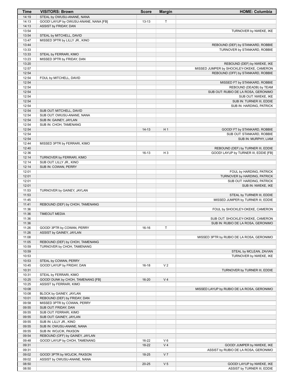| Time           | <b>VISITORS: Brown</b>                | <b>Score</b> | <b>Margin</b>  | <b>HOME: Columbia</b>                                                   |
|----------------|---------------------------------------|--------------|----------------|-------------------------------------------------------------------------|
| 14:19          | STEAL by OWUSU-ANANE, NANA            |              |                |                                                                         |
| 14:13          | GOOD! LAYUP by OWUSU-ANANE, NANA [FB] | $13 - 13$    | Τ              |                                                                         |
| 14:13          | ASSIST by FRIDAY, DAN                 |              |                |                                                                         |
| 13:54          |                                       |              |                | TURNOVER by NWEKE, IKE                                                  |
| 13:54          | STEAL by MITCHELL, DAVID              |              |                |                                                                         |
| 13:47          | MISSED 3PTR by LILLY JR., KINO        |              |                |                                                                         |
| 13:44          |                                       |              |                | REBOUND (DEF) by STANKARD, ROBBIE                                       |
| 13:33          |                                       |              |                | TURNOVER by STANKARD, ROBBIE                                            |
| 13:33          | STEAL by FERRARI, KIMO                |              |                |                                                                         |
| 13:23<br>13:20 | MISSED 3PTR by FRIDAY, DAN            |              |                |                                                                         |
| 12:57          |                                       |              |                | REBOUND (DEF) by NWEKE, IKE<br>MISSED JUMPER by SHOCKLEY-OKEKE, CAMERON |
| 12:54          |                                       |              |                | REBOUND (OFF) by STANKARD, ROBBIE                                       |
| 12:54          | FOUL by MITCHELL, DAVID               |              |                |                                                                         |
| 12:54          |                                       |              |                | MISSED FT by STANKARD, ROBBIE                                           |
| 12:54          |                                       |              |                | REBOUND (DEADB) by TEAM                                                 |
| 12:54          |                                       |              |                | SUB OUT: RUBIO DE LA ROSA, GERONIMO                                     |
| 12:54          |                                       |              |                | SUB OUT: NWEKE, IKE                                                     |
| 12:54          |                                       |              |                | SUB IN: TURNER III, EDDIE                                               |
| 12:54          |                                       |              |                | SUB IN: HARDING, PATRICK                                                |
| 12:54          | SUB OUT: MITCHELL, DAVID              |              |                |                                                                         |
| 12:54          | SUB OUT: OWUSU-ANANE, NANA            |              |                |                                                                         |
| 12:54          | SUB IN: GAINEY, JAYLAN                |              |                |                                                                         |
| 12:54          | SUB IN: CHOH, TAMENANG                |              |                |                                                                         |
| 12:54          |                                       | $14-13$      | H <sub>1</sub> | GOOD! FT by STANKARD, ROBBIE                                            |
| 12:54          |                                       |              |                | SUB OUT: STANKARD, ROBBIE                                               |
| 12:54          |                                       |              |                | SUB IN: MURPHY, LIAM                                                    |
| 12:44          | MISSED 3PTR by FERRARI, KIMO          |              |                |                                                                         |
| 12:40          |                                       |              |                | REBOUND (DEF) by TURNER III, EDDIE                                      |
| 12:36          |                                       | $16-13$      | H <sub>3</sub> | GOOD! LAYUP by TURNER III, EDDIE [FB]                                   |
| 12:14          | TURNOVER by FERRARI, KIMO             |              |                |                                                                         |
| 12:14          | SUB OUT: LILLY JR., KINO              |              |                |                                                                         |
| 12:14          | SUB IN: COWAN, PERRY                  |              |                |                                                                         |
| 12:01          |                                       |              |                | FOUL by HARDING, PATRICK                                                |
| 12:01          |                                       |              |                | TURNOVER by HARDING, PATRICK                                            |
| 12:01          |                                       |              |                | SUB OUT: HARDING, PATRICK                                               |
| 12:01<br>11:53 | TURNOVER by GAINEY, JAYLAN            |              |                | SUB IN: NWEKE, IKE                                                      |
| 11:53          |                                       |              |                | STEAL by TURNER III, EDDIE                                              |
| 11:45          |                                       |              |                | MISSED JUMPER by TURNER III, EDDIE                                      |
| 11:41          | REBOUND (DEF) by CHOH, TAMENANG       |              |                |                                                                         |
| 11:36          |                                       |              |                | FOUL by SHOCKLEY-OKEKE, CAMERON                                         |
| 11:36          | <b>TIMEOUT MEDIA</b>                  |              |                |                                                                         |
| 11:36          |                                       |              |                | SUB OUT: SHOCKLEY-OKEKE, CAMERON                                        |
| 11:36          |                                       |              |                | SUB IN: RUBIO DE LA ROSA, GERONIMO                                      |
| 11:26          | GOOD! 3PTR by COWAN, PERRY            | $16-16$      | Τ              |                                                                         |
| 11:26          | ASSIST by GAINEY, JAYLAN              |              |                |                                                                         |
| 11:08          |                                       |              |                | MISSED 3PTR by RUBIO DE LA ROSA, GERONIMO                               |
| 11:05          | REBOUND (DEF) by CHOH, TAMENANG       |              |                |                                                                         |
| 10:59          | TURNOVER by CHOH, TAMENANG            |              |                |                                                                         |
| 10:59          |                                       |              |                | STEAL by MCLEAN, ZAVIAN                                                 |
| 10:53          |                                       |              |                | TURNOVER by NWEKE, IKE                                                  |
| 10:53          | STEAL by COWAN, PERRY                 |              |                |                                                                         |
| 10:45          | GOOD! LAYUP by FRIDAY, DAN            | $16-18$      | V <sub>2</sub> |                                                                         |
| 10:31          |                                       |              |                | TURNOVER by TURNER III, EDDIE                                           |
| 10:31          | STEAL by FERRARI, KIMO                |              |                |                                                                         |
| 10:25          | GOOD! DUNK by CHOH, TAMENANG [FB]     | $16 - 20$    | V <sub>4</sub> |                                                                         |
| 10:25<br>10:08 | ASSIST by FERRARI, KIMO               |              |                |                                                                         |
| 10:08          | BLOCK by GAINEY, JAYLAN               |              |                | MISSED LAYUP by RUBIO DE LA ROSA, GERONIMO                              |
| 10:01          | REBOUND (DEF) by FRIDAY, DAN          |              |                |                                                                         |
| 09:58          | MISSED 3PTR by COWAN, PERRY           |              |                |                                                                         |
| 09:55          | SUB OUT: FRIDAY, DAN                  |              |                |                                                                         |
| 09:55          | SUB OUT: FERRARI, KIMO                |              |                |                                                                         |
| 09:55          | SUB OUT: GAINEY, JAYLAN               |              |                |                                                                         |
| 09:55          | SUB IN: LILLY JR., KINO               |              |                |                                                                         |
| 09:55          | SUB IN: OWUSU-ANANE, NANA             |              |                |                                                                         |
| 09:55          | SUB IN: WOJCIK, PAXSON                |              |                |                                                                         |
| 09:54          | REBOUND (OFF) by GAINEY, JAYLAN       |              |                |                                                                         |
| 09:48          | GOOD! LAYUP by CHOH, TAMENANG         | 16-22        | V6             |                                                                         |
| 09:31          |                                       | 18-22        | V <sub>4</sub> | GOOD! JUMPER by NWEKE, IKE                                              |
| 09:31          |                                       |              |                | ASSIST by RUBIO DE LA ROSA, GERONIMO                                    |
| 09:02          | GOOD! 3PTR by WOJCIK, PAXSON          | 18-25        | V <sub>7</sub> |                                                                         |
| 09:02          | ASSIST by OWUSU-ANANE, NANA           |              |                |                                                                         |
| 08:50          |                                       | $20 - 25$    | V <sub>5</sub> | GOOD! LAYUP by NWEKE, IKE                                               |
| 08:50          |                                       |              |                | ASSIST by TURNER III, EDDIE                                             |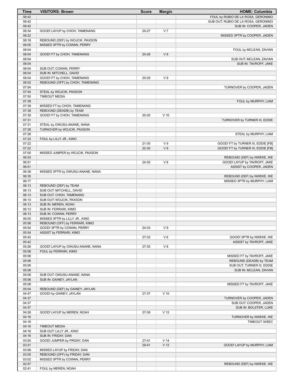| <b>Time</b>    | <b>VISITORS: Brown</b>                                           | <b>Score</b>   | <b>Margin</b>   | <b>HOME: Columbia</b>                                                    |
|----------------|------------------------------------------------------------------|----------------|-----------------|--------------------------------------------------------------------------|
| 08:42          |                                                                  |                |                 | FOUL by RUBIO DE LA ROSA, GERONIMO                                       |
| 08:42          |                                                                  |                |                 | SUB OUT: RUBIO DE LA ROSA, GERONIMO                                      |
| 08:42          |                                                                  |                |                 | SUB IN: COOPER, JADEN                                                    |
| 08:34          | GOOD! LAYUP by CHOH, TAMENANG                                    | $20 - 27$      | V <sub>7</sub>  |                                                                          |
| 08:22          |                                                                  |                |                 | MISSED 3PTR by COOPER, JADEN                                             |
| 08:18          | REBOUND (DEF) by WOJCIK, PAXSON                                  |                |                 |                                                                          |
| 08:05          | MISSED 3PTR by COWAN, PERRY                                      |                |                 |                                                                          |
| 08:04          |                                                                  |                | V8              | FOUL by MCLEAN, ZAVIAN                                                   |
| 08:04<br>08:04 | GOOD! FT by CHOH, TAMENANG                                       | $20 - 28$      |                 | SUB OUT: MCLEAN, ZAVIAN                                                  |
| 08:04          |                                                                  |                |                 | SUB IN: TAVROFF, JAKE                                                    |
| 08:04          | SUB OUT: COWAN, PERRY                                            |                |                 |                                                                          |
| 08:04          | SUB IN: MITCHELL, DAVID                                          |                |                 |                                                                          |
| 08:04          | GOOD! FT by CHOH, TAMENANG                                       | 20-29          | V <sub>9</sub>  |                                                                          |
| 08:02          | REBOUND (OFF) by CHOH, TAMENANG                                  |                |                 |                                                                          |
| 07:54          |                                                                  |                |                 | TURNOVER by COOPER, JADEN                                                |
| 07:54          | STEAL by WOJCIK, PAXSON                                          |                |                 |                                                                          |
| 07:50          | <b>TIMEOUT MEDIA</b>                                             |                |                 |                                                                          |
| 07:39          |                                                                  |                |                 | FOUL by MURPHY, LIAM                                                     |
| 07:39          | MISSED FT by CHOH, TAMENANG                                      |                |                 |                                                                          |
| 07:39          | REBOUND (DEADB) by TEAM                                          |                |                 |                                                                          |
| 07:39          | GOOD! FT by CHOH, TAMENANG                                       | 20-30          | $V$ 10          |                                                                          |
| 07:31          |                                                                  |                |                 | TURNOVER by TURNER III, EDDIE                                            |
| 07:31          | STEAL by OWUSU-ANANE, NANA                                       |                |                 |                                                                          |
| 07:26          | TURNOVER by WOJCIK, PAXSON                                       |                |                 |                                                                          |
| 07:26          |                                                                  |                |                 | STEAL by MURPHY, LIAM                                                    |
| 07:22<br>07:22 | FOUL by LILLY JR., KINO                                          |                | V <sub>9</sub>  |                                                                          |
| 07:22          |                                                                  | 21-30<br>22-30 | V8              | GOOD! FT by TURNER III, EDDIE [FB]<br>GOOD! FT by TURNER III, EDDIE [FB] |
| 07:00          | MISSED JUMPER by WOJCIK, PAXSON                                  |                |                 |                                                                          |
| 06:53          |                                                                  |                |                 | REBOUND (DEF) by NWEKE, IKE                                              |
| 06:51          |                                                                  | 24-30          | $V_6$           | GOOD! LAYUP by TAVROFF, JAKE                                             |
| 06:51          |                                                                  |                |                 | ASSIST by COOPER, JADEN                                                  |
| 06:38          | MISSED 3PTR by OWUSU-ANANE, NANA                                 |                |                 |                                                                          |
| 06:35          |                                                                  |                |                 | REBOUND (DEF) by NWEKE, IKE                                              |
| 06:17          |                                                                  |                |                 | MISSED 3PTR by MURPHY, LIAM                                              |
| 06:13          | REBOUND (DEF) by TEAM                                            |                |                 |                                                                          |
| 06:13          | SUB OUT: MITCHELL, DAVID                                         |                |                 |                                                                          |
| 06:13          | SUB OUT: CHOH, TAMENANG                                          |                |                 |                                                                          |
| 06:13          | SUB OUT: WOJCIK, PAXSON                                          |                |                 |                                                                          |
| 06:13          | SUB IN: MEREN, NOAH                                              |                |                 |                                                                          |
| 06:13          | SUB IN: FERRARI, KIMO                                            |                |                 |                                                                          |
| 06:13          | SUB IN: COWAN, PERRY                                             |                |                 |                                                                          |
| 06:00<br>05:56 | MISSED 3PTR by LILLY JR., KINO<br>REBOUND (OFF) by FERRARI, KIMO |                |                 |                                                                          |
| 05:54          | GOOD! 3PTR by COWAN, PERRY                                       | 24-33          | V <sub>9</sub>  |                                                                          |
| 05:54          | ASSIST by FERRARI, KIMO                                          |                |                 |                                                                          |
| 05:42          |                                                                  | 27-33          | $V_6$           | GOOD! 3PTR by NWEKE, IKE                                                 |
| 05:42          |                                                                  |                |                 | ASSIST by TAVROFF, JAKE                                                  |
| 05:26          | GOOD! LAYUP by OWUSU-ANANE, NANA                                 | 27-35          | V8              |                                                                          |
| 05:06          | FOUL by FERRARI, KIMO                                            |                |                 |                                                                          |
| 05:06          |                                                                  |                |                 | MISSED FT by TAVROFF, JAKE                                               |
| 05:06          |                                                                  |                |                 | REBOUND (DEADB) by TEAM                                                  |
| 05:06          |                                                                  |                |                 | SUB OUT: TURNER III, EDDIE                                               |
| 05:06          |                                                                  |                |                 | SUB IN: MCLEAN, ZAVIAN                                                   |
| 05:06          | SUB OUT: OWUSU-ANANE, NANA                                       |                |                 |                                                                          |
| 05:06          | SUB IN: GAINEY, JAYLAN                                           |                |                 |                                                                          |
| 05:06          |                                                                  |                |                 | MISSED FT by TAVROFF, JAKE                                               |
| 05:04          | REBOUND (DEF) by GAINEY, JAYLAN                                  |                |                 |                                                                          |
| 04:47          | GOOD! by GAINEY, JAYLAN                                          | 27-37          | $V$ 10          |                                                                          |
| 04:37          |                                                                  |                |                 | TURNOVER by COOPER, JADEN                                                |
| 04:37          |                                                                  |                |                 | SUB OUT: COOPER, JADEN                                                   |
| 04:37          |                                                                  |                |                 | SUB IN: BOLSTER, LUKE                                                    |
| 04:26          | GOOD! LAYUP by MEREN, NOAH                                       | 27-39          | V <sub>12</sub> |                                                                          |
| 04:16<br>04:16 |                                                                  |                |                 | TURNOVER by NWEKE, IKE<br>TIMEOUT 30SEC                                  |
| 04:16          | <b>TIMEOUT MEDIA</b>                                             |                |                 |                                                                          |
| 04:16          | SUB OUT: LILLY JR., KINO                                         |                |                 |                                                                          |
| 04:16          | SUB IN: FRIDAY, DAN                                              |                |                 |                                                                          |
| 03:50          | GOOD! JUMPER by FRIDAY, DAN                                      | $27 - 41$      | V <sub>14</sub> |                                                                          |
| 03:21          |                                                                  | 29-41          | V <sub>12</sub> | GOOD! LAYUP by MURPHY, LIAM                                              |
| 03:08          | MISSED LAYUP by FRIDAY, DAN                                      |                |                 |                                                                          |
| 03:05          | REBOUND (OFF) by FRIDAY, DAN                                     |                |                 |                                                                          |
| 03:02          | MISSED 3PTR by COWAN, PERRY                                      |                |                 |                                                                          |
| 02:57          |                                                                  |                |                 | REBOUND (DEF) by NWEKE, IKE                                              |
| 02:41          | FOUL by MEREN, NOAH                                              |                |                 |                                                                          |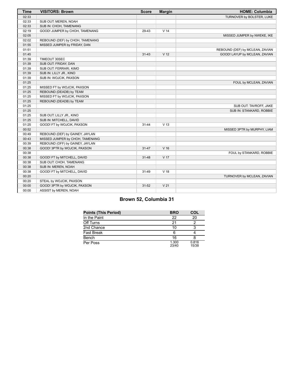| <b>Time</b> | <b>VISITORS: Brown</b>          | <b>Score</b> | <b>Margin</b>   | <b>HOME: Columbia</b>           |
|-------------|---------------------------------|--------------|-----------------|---------------------------------|
| 02:33       |                                 |              |                 | TURNOVER by BOLSTER, LUKE       |
| 02:33       | SUB OUT: MEREN, NOAH            |              |                 |                                 |
| 02:33       | SUB IN: CHOH, TAMENANG          |              |                 |                                 |
| 02:19       | GOOD! JUMPER by CHOH, TAMENANG  | 29-43        | V <sub>14</sub> |                                 |
| 02:05       |                                 |              |                 | MISSED JUMPER by NWEKE, IKE     |
| 02:02       | REBOUND (DEF) by CHOH, TAMENANG |              |                 |                                 |
| 01:55       | MISSED JUMPER by FRIDAY, DAN    |              |                 |                                 |
| 01:51       |                                 |              |                 | REBOUND (DEF) by MCLEAN, ZAVIAN |
| 01:45       |                                 | $31 - 43$    | V <sub>12</sub> | GOOD! LAYUP by MCLEAN, ZAVIAN   |
| 01:39       | TIMEOUT 30SEC                   |              |                 |                                 |
| 01:39       | SUB OUT: FRIDAY, DAN            |              |                 |                                 |
| 01:39       | SUB OUT: FERRARI, KIMO          |              |                 |                                 |
| 01:39       | SUB IN: LILLY JR., KINO         |              |                 |                                 |
| 01:39       | SUB IN: WOJCIK, PAXSON          |              |                 |                                 |
| 01:25       |                                 |              |                 | FOUL by MCLEAN, ZAVIAN          |
| 01:25       | MISSED FT by WOJCIK, PAXSON     |              |                 |                                 |
| 01:25       | REBOUND (DEADB) by TEAM         |              |                 |                                 |
| 01:25       | MISSED FT by WOJCIK, PAXSON     |              |                 |                                 |
| 01:25       | REBOUND (DEADB) by TEAM         |              |                 |                                 |
| 01:25       |                                 |              |                 | SUB OUT: TAVROFF, JAKE          |
| 01:25       |                                 |              |                 | SUB IN: STANKARD, ROBBIE        |
| 01:25       | SUB OUT: LILLY JR., KINO        |              |                 |                                 |
| 01:25       | SUB IN: MITCHELL, DAVID         |              |                 |                                 |
| 01:25       | GOOD! FT by WOJCIK, PAXSON      | $31 - 44$    | V <sub>13</sub> |                                 |
| 00:52       |                                 |              |                 | MISSED 3PTR by MURPHY, LIAM     |
| 00:49       | REBOUND (DEF) by GAINEY, JAYLAN |              |                 |                                 |
| 00:43       | MISSED JUMPER by CHOH, TAMENANG |              |                 |                                 |
| 00:39       | REBOUND (OFF) by GAINEY, JAYLAN |              |                 |                                 |
| 00:38       | GOOD! 3PTR by WOJCIK, PAXSON    | $31 - 47$    | V <sub>16</sub> |                                 |
| 00:38       |                                 |              |                 | FOUL by STANKARD, ROBBIE        |
| 00:38       | GOOD! FT by MITCHELL, DAVID     | $31 - 48$    | V <sub>17</sub> |                                 |
| 00:38       | SUB OUT: CHOH, TAMENANG         |              |                 |                                 |
| 00:38       | SUB IN: MEREN, NOAH             |              |                 |                                 |
| 00:38       | GOOD! FT by MITCHELL, DAVID     | $31 - 49$    | V <sub>18</sub> |                                 |
| 00:20       |                                 |              |                 | TURNOVER by MCLEAN, ZAVIAN      |
| 00:20       | STEAL by WOJCIK, PAXSON         |              |                 |                                 |
| 00:00       | GOOD! 3PTR by WOJCIK, PAXSON    | $31 - 52$    | V <sub>21</sub> |                                 |
| 00:00       | ASSIST by MEREN, NOAH           |              |                 |                                 |

# **Brown 52, Columbia 31**

| <b>Points (This Period)</b> | <b>BRO</b>     | <b>COL</b>     |
|-----------------------------|----------------|----------------|
| In the Paint                | 22             | 20             |
| Off Turns                   | 21             |                |
| 2nd Chance                  | 10             |                |
| <b>Fast Break</b>           | ี              |                |
| Bench                       | 16             |                |
| Per Poss                    | 1.300<br>23/40 | 0.816<br>15/38 |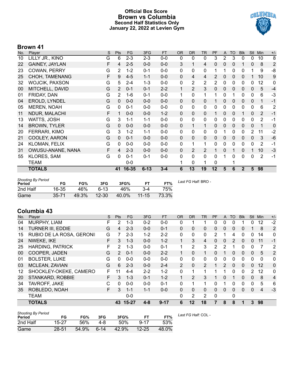### **Official Box Score Brown vs Columbia Second Half Statistics Only January 22, 2022 at Levien Gym**



### **Brown 41**

| No. | Player                | S | <b>Pts</b>     | <b>FG</b> | 3FG      | <b>FT</b> | <b>OR</b>    | <b>DR</b>    | <b>TR</b> | PF             | A              | <b>TO</b> | <b>Blk</b>   | Stl          | Min            | $+/-$ |
|-----|-----------------------|---|----------------|-----------|----------|-----------|--------------|--------------|-----------|----------------|----------------|-----------|--------------|--------------|----------------|-------|
| 10  | LILLY JR., KINO       | G | 6              | $2 - 3$   | $2 - 3$  | $0-0$     | $\mathbf{0}$ | $\mathbf{0}$ | 0         | 3              | $\overline{2}$ | 3         | 0            | $\mathbf 0$  | 10             | 8     |
| 22  | <b>GAINEY, JAYLAN</b> | F | 4              | $2 - 5$   | $0-0$    | $0-0$     | 3            | 1            | 4         | 0              | 0              | 0         |              | 0            | 8              | 2     |
| 23  | <b>COWAN, PERRY</b>   | G | 2              | $1 - 2$   | $0 - 1$  | $0-0$     | $\mathbf 0$  | 0            | 0         | 1              |                | 0         | 0            | 1            | 9              | -8    |
| 25  | CHOH, TAMENANG        | F | 9              | $4 - 5$   | $1 - 1$  | $0-0$     | $\Omega$     | 4            | 4         | 2              | 0              | $\Omega$  | 0            | 1            | 10             | 9     |
| 32  | <b>WOJCIK, PAXSON</b> | G | 5              | $2 - 4$   | $1 - 3$  | $0-0$     | 0            | 2            | 2         | $\overline{2}$ | $\mathbf{0}$   | 0         | 0            | $\mathbf{0}$ | 12             | 0     |
| 00  | MITCHELL, DAVID       | G | $\overline{2}$ | $0 - 1$   | $0 - 1$  | $2 - 2$   | 1            | 2            | 3         | 0              | 0              | 0         | 0            | 0            | 5              | $-4$  |
| 01  | FRIDAY, DAN           | G | 2              | $1 - 6$   | $0 - 1$  | $0-0$     | 1            | 0            | 1         | 1              | 0              |           | 0            | $\mathbf{0}$ | 6              | $-3$  |
| 04  | EROLD, LYNDEL         | G | 0              | $0 - 0$   | $0 - 0$  | $0 - 0$   | $\Omega$     | $\mathbf{0}$ | 0         | 1              | 0              | 0         | 0            | $\mathbf{0}$ | 1              | $-1$  |
| 05  | MEREN, NOAH           | G | 0              | $0 - 1$   | $0-0$    | $0-0$     | $\mathbf{0}$ | 0            | 0         | 0              | $\mathbf{0}$   | 0         | 0            | 0            | 6              | 2     |
| 11  | NDUR, MALACHI         | F | 1              | $0 - 0$   | $0-0$    | $1 - 2$   | 0            | $\Omega$     | 0         | 1              | 0              | 0         | 1            | $\mathbf{0}$ | $\overline{2}$ | $-1$  |
| 13  | WATTS, JOSH           | G | 3              | $1 - 1$   | 1-1      | $0-0$     | 0            | 0            | 0         | 0              | $\mathbf{0}$   | 0         | 0            | 0            | 2              | $-1$  |
| 14  | <b>BROWN, TYLER</b>   | G | 0              | $0 - 0$   | $0-0$    | $0 - 0$   | 0            | 1            | 1         | 0              | $\mathbf{0}$   | 0         | 0            | $\mathbf 0$  | 1              | 0     |
| 20  | FERRARI, KIMO         | G | 3              | $1 - 2$   | $1 - 1$  | $0-0$     | 0            | 0            | 0         | 0              |                | 0         | 0            | 2            | 11             | $-2$  |
| 21  | COOLEY, AARON         | G | $\Omega$       | $0 - 1$   | $0-0$    | $0-0$     | $\Omega$     | $\Omega$     | 0         | 0              | $\mathbf{0}$   | 0         | 0            | $\mathbf{0}$ | 3              | $-6$  |
| 24  | KLOMAN, FELIX         | G | 0              | $0 - 0$   | $0-0$    | $0-0$     | 0            | 1            | 1         | 0              | 0              | 0         | 0            | $\mathbf{0}$ | $\overline{2}$ | $-1$  |
| 31  | OWUSU-ANANE, NANA     | F | 4              | $2 - 3$   | $0 - 0$  | $0-0$     | $\Omega$     | 2            | 2         |                | $\Omega$       | 1         | 0            |              | 10             | $-3$  |
| 55  | <b>KLORES, SAM</b>    | G | 0              | $0 - 1$   | $0 - 1$  | $0-0$     | $\mathbf 0$  | 0            | 0         | 0              | 1              | 0         | 0            | $\Omega$     | 2              | $-1$  |
|     | <b>TEAM</b>           |   |                | $0 - 0$   |          |           | 1            | 0            | 1         | 0              |                |           |              |              |                |       |
|     | <b>TOTALS</b>         |   | 41             | 16-35     | $6 - 13$ | $3 - 4$   | 6            | 13           | 19        | 12             | 5              | 6         | $\mathbf{2}$ | 5            | 98             |       |

| <b>Shooting By Period</b><br>Period | FG        | FG%   | 3FG       | 3FG%  | FТ        | FT%   | Last FG Half: BRO - |
|-------------------------------------|-----------|-------|-----------|-------|-----------|-------|---------------------|
| 2nd Half                            | 16-35     | 46%   | $6-13$    | 46%   | 3-4       | 75%   |                     |
| Game                                | $35 - 71$ | 49.3% | $12 - 30$ | 40.0% | $11 - 15$ | 73.3% |                     |

# **Columbia 43**

| Player                   | S  | Pts            | <b>FG</b> | 3FG       | <b>FT</b> | <b>OR</b>      | <b>DR</b> | <b>TR</b>      | PF             | A            | <b>TO</b> | <b>Blk</b> | Stl      | Min      | $+/-$          |
|--------------------------|----|----------------|-----------|-----------|-----------|----------------|-----------|----------------|----------------|--------------|-----------|------------|----------|----------|----------------|
| MURPHY, LIAM             | F  | 2              | $1 - 3$   | $0 - 2$   | $0-0$     | 0              | 1         |                | 0              | 0            |           |            | 0        | 12       | $-2$           |
| <b>TURNER III, EDDIE</b> | G  | 4              | $2 - 3$   | $0 - 0$   | $0 - 1$   | $\Omega$       | 0         | 0              | $\Omega$       | 0            | 0         | $\Omega$   | 1        | 8        | 2              |
| RUBIO DE LA ROSA, GERONI | G  |                | $2 - 3$   | $1 - 2$   | $2 - 2$   | 0              | 0         | 0              | $\overline{2}$ |              | 4         | $\Omega$   | 0        | 14       | $\mathbf{0}$   |
| NWEKE, IKE               | F  | 3              | $1 - 3$   | $0 - 0$   | $1 - 2$   |                | 3         | 4              | $\Omega$       | $\mathbf{0}$ | 2         | $\Omega$   | $\Omega$ | 11       | $-1$           |
| <b>HARDING, PATRICK</b>  | F  | 2              | 1-3       | $0 - 0$   | $0 - 1$   | 1              | 2         | 3              | 2              | 2            |           | 0          | $\Omega$ | 7        | 2              |
| COOPER, JADEN            | G  | $\overline{2}$ | $0 - 1$   | $0 - 0$   | $2 - 2$   |                | $\Omega$  |                | 0              |              | 0         | $\Omega$   | 0        | 5        | 2              |
| <b>BOLSTER, LUKE</b>     | G  | $\Omega$       | $0 - 0$   | $0 - 0$   | $0 - 0$   | 0              | 0         | 0              | 0              | 0            | 0         | $\Omega$   | $\Omega$ | $\Omega$ | $\mathbf 0$    |
| MCLEAN, ZAVIAN           | G  | 6              | $2 - 3$   | $0 - 0$   | $2 - 4$   | $\overline{2}$ | $\Omega$  | $\overline{2}$ |                | 2            | 0         | $\Omega$   | 0        | 12       | $\mathbf 0$    |
| SHOCKLEY-OKEKE, CAMERO   | F  | 11             | 4-4       | $2 - 2$   | $1 - 2$   | 0              | 1         |                | 1              | 1            | 0         | $\Omega$   | 2        | 12       | $\mathbf{0}$   |
| STANKARD, ROBBIE         | F. | 3              | $1 - 3$   | $0 - 1$   | $1 - 2$   | 1              | 2         | 3              |                | 0            |           | $\Omega$   | 0        | 8        | $\overline{4}$ |
| TAVROFF, JAKE            | C  | $\Omega$       | $0 - 0$   | $0 - 0$   | $0 - 1$   | 0              | 1         |                | 0              | 1            | 0         | $\Omega$   | $\Omega$ | 5        | 6              |
| ROBLEDO, NOAH            | F  | 3              | $1 - 1$   | $1 - 1$   | $0 - 0$   | 0              | $\Omega$  | $\mathbf{0}$   | $\Omega$       | 0            | 0         | 0          | 0        | 4        | $-3$           |
| <b>TEAM</b>              |    |                | $0 - 0$   |           |           | 0              | 2         | 2              | $\Omega$       |              | 0         |            |          |          |                |
| <b>TOTALS</b>            |    | 43             |           | $4 - 8$   | $9 - 17$  | 6              | 12        | 18             |                | 8            | 8         |            | 3        | 98       |                |
|                          |    |                |           | $15 - 27$ |           |                |           |                |                |              |           |            |          |          |                |

| <b>Shooting By Period</b><br>Period | FG        | FG%   | 3FG      | 3FG%  | FТ        | FT%   | Last I |
|-------------------------------------|-----------|-------|----------|-------|-----------|-------|--------|
| 2nd Half                            | 15-27     | 56%   | 4-8      | 50%   | $9 - 17$  | 53%   |        |
| Game                                | $28 - 51$ | 54.9% | $6 - 14$ | 42.9% | $12 - 25$ | 48.0% |        |

*Last FG Half:* COL -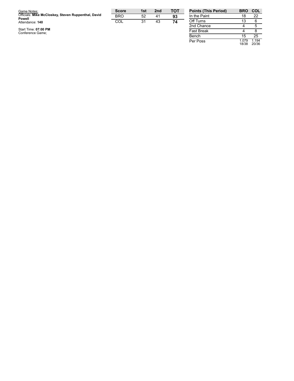| Game Notes:                                                   | <b>Score</b> | 1st | 2 <sub>nd</sub> | TOT | <b>Points (This Perior</b> |
|---------------------------------------------------------------|--------------|-----|-----------------|-----|----------------------------|
| Officials: Mike McCloskey, Steven Ruppenthal, David<br>Powell | <b>BRO</b>   | 52  | 41              | 93  | In the Paint               |
| Attendance: 140                                               | COL          | 31  | 43              | 74  | Off Turns                  |
|                                                               |              |     |                 |     | 2nd Chance                 |
| Start Time: 07:00 PM<br>Conference Game;                      |              |     |                 |     | <b>Fast Break</b><br>$ -$  |

| <b>Points (This Period)</b> | <b>BRO</b>     | COL            |
|-----------------------------|----------------|----------------|
| In the Paint                | 18             | 22             |
| Off Turns                   | 13             | հ              |
| 2nd Chance                  |                | 5              |
| <b>Fast Break</b>           |                | 8              |
| Bench                       | 15             | 25             |
| Per Poss                    | 1.079<br>18/38 | 1.194<br>20/36 |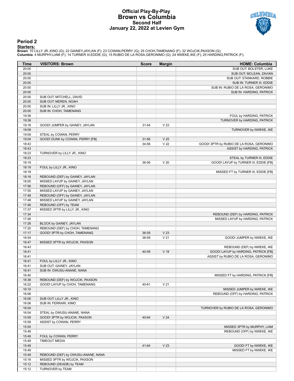#### **Official Play-By-Play Brown vs Columbia Second Half January 22, 2022 at Levien Gym**



#### **Period 2**

| Time           | <b>VISITORS: Brown</b>             | <b>Score</b> | <b>Margin</b>   | <b>HOME: Columbia</b>                    |
|----------------|------------------------------------|--------------|-----------------|------------------------------------------|
| 20:00          |                                    |              |                 | SUB OUT: BOLSTER, LUKE                   |
| 20:00          |                                    |              |                 | SUB OUT: MCLEAN, ZAVIAN                  |
| 20:00          |                                    |              |                 | SUB OUT: STANKARD, ROBBIE                |
| 20:00          |                                    |              |                 | SUB IN: TURNER III, EDDIE                |
| 20:00          |                                    |              |                 | SUB IN: RUBIO DE LA ROSA, GERONIMO       |
| 20:00          |                                    |              |                 | SUB IN: HARDING, PATRICK                 |
| 20:00          | SUB OUT: MITCHELL, DAVID           |              |                 |                                          |
| 20:00          | SUB OUT: MEREN, NOAH               |              |                 |                                          |
| 20:00          | SUB IN: LILLY JR., KINO            |              |                 |                                          |
| 20:00          | SUB IN: CHOH, TAMENANG             |              |                 |                                          |
| 19:38          |                                    |              |                 | FOUL by HARDING, PATRICK                 |
| 19:38          |                                    |              |                 | TURNOVER by HARDING, PATRICK             |
| 19:18          | GOOD! JUMPER by GAINEY, JAYLAN     | 31-54        | V <sub>23</sub> |                                          |
| 19:09          |                                    |              |                 | TURNOVER by NWEKE, IKE                   |
| 19:09          | STEAL by COWAN, PERRY              |              |                 |                                          |
| 19:04          | GOOD! DUNK by COWAN, PERRY [FB]    | 31-56        | V <sub>25</sub> |                                          |
| 18:43          |                                    | 34-56        | V <sub>22</sub> | GOOD! 3PTR by RUBIO DE LA ROSA, GERONIMO |
| 18:43          |                                    |              |                 | ASSIST by HARDING, PATRICK               |
| 18:23          | TURNOVER by LILLY JR., KINO        |              |                 |                                          |
| 18:23          |                                    |              |                 | STEAL by TURNER III, EDDIE               |
| 18:19          |                                    | 36-56        | V <sub>20</sub> | GOOD! LAYUP by TURNER III, EDDIE [FB]    |
| 18:19          | FOUL by LILLY JR., KINO            |              |                 |                                          |
| 18:18          |                                    |              |                 | MISSED FT by TURNER III, EDDIE [FB]      |
| 18:16          | REBOUND (DEF) by GAINEY, JAYLAN    |              |                 |                                          |
| 18:00          | MISSED LAYUP by GAINEY, JAYLAN     |              |                 |                                          |
| 17:56          | REBOUND (OFF) by GAINEY, JAYLAN    |              |                 |                                          |
| 17:55          | MISSED LAYUP by GAINEY, JAYLAN     |              |                 |                                          |
| 17:48          | REBOUND (OFF) by GAINEY, JAYLAN    |              |                 |                                          |
| 17:48          | MISSED LAYUP by GAINEY, JAYLAN     |              |                 |                                          |
| 17:46          | REBOUND (OFF) by TEAM              |              |                 |                                          |
| 17:37<br>17:34 | MISSED 3PTR by LILLY JR., KINO     |              |                 |                                          |
|                |                                    |              |                 | REBOUND (DEF) by HARDING, PATRICK        |
| 17:26<br>17:26 | BLOCK by GAINEY, JAYLAN            |              |                 | MISSED LAYUP by HARDING, PATRICK         |
| 17:20          | REBOUND (DEF) by CHOH, TAMENANG    |              |                 |                                          |
| 17:17          | GOOD! 3PTR by CHOH, TAMENANG       | 36-59        | V <sub>23</sub> |                                          |
| 16:54          |                                    | 38-59        | V <sub>21</sub> | GOOD! JUMPER by NWEKE, IKE               |
| 16:47          | MISSED 3PTR by WOJCIK, PAXSON      |              |                 |                                          |
| 16:43          |                                    |              |                 | REBOUND (DEF) by NWEKE, IKE              |
| 16:41          |                                    | 40-59        | $V$ 19          | GOOD! LAYUP by HARDING, PATRICK [FB]     |
| 16:41          |                                    |              |                 | ASSIST by RUBIO DE LA ROSA, GERONIMO     |
| 16:41          | FOUL by LILLY JR., KINO            |              |                 |                                          |
| 16:41          | SUB OUT: GAINEY, JAYLAN            |              |                 |                                          |
| 16:41          | SUB IN: OWUSU-ANANE, NANA          |              |                 |                                          |
| 16:40          |                                    |              |                 | MISSED FT by HARDING, PATRICK [FB]       |
| 16:38          | REBOUND (DEF) by WOJCIK, PAXSON    |              |                 |                                          |
| 16:22          | GOOD! LAYUP by CHOH, TAMENANG      | 40-61        | V <sub>21</sub> |                                          |
| 16:10          |                                    |              |                 | MISSED JUMPER by NWEKE, IKE              |
| 16:06          |                                    |              |                 | REBOUND (OFF) by HARDING, PATRICK        |
| 16:06          | SUB OUT: LILLY JR., KINO           |              |                 |                                          |
| 16:06          | SUB IN: FERRARI, KIMO              |              |                 |                                          |
| 16:04          |                                    |              |                 | TURNOVER by RUBIO DE LA ROSA, GERONIMO   |
| 16:04          | STEAL by OWUSU-ANANE, NANA         |              |                 |                                          |
| 15:59          | GOOD! 3PTR by WOJCIK, PAXSON       | 40-64        | V <sub>24</sub> |                                          |
| 15:59          | ASSIST by COWAN, PERRY             |              |                 |                                          |
| 15:50          |                                    |              |                 | MISSED 3PTR by MURPHY, LIAM              |
| 15:49          |                                    |              |                 | REBOUND (OFF) by NWEKE, IKE              |
| 15:49          | FOUL by COWAN, PERRY               |              |                 |                                          |
| 15:49          | <b>TIMEOUT MEDIA</b>               |              |                 |                                          |
| 15:49          |                                    | 41-64        | V <sub>23</sub> | GOOD! FT by NWEKE, IKE                   |
| 15:49          |                                    |              |                 | MISSED FT by NWEKE, IKE                  |
| 15:49          | REBOUND (DEF) by OWUSU-ANANE, NANA |              |                 |                                          |
| 15:16          | MISSED 3PTR by WOJCIK, PAXSON      |              |                 |                                          |
| 15:12          | REBOUND (DEADB) by TEAM            |              |                 |                                          |
| 15:12          | TURNOVER by TEAM                   |              |                 |                                          |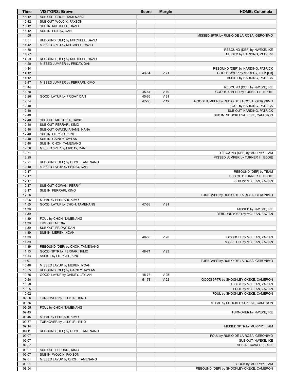| Time  | <b>VISITORS: Brown</b>           | <b>Score</b> | <b>Margin</b>   | <b>HOME: Columbia</b>                      |
|-------|----------------------------------|--------------|-----------------|--------------------------------------------|
| 15:12 | SUB OUT: CHOH, TAMENANG          |              |                 |                                            |
| 15:12 | SUB OUT: WOJCIK, PAXSON          |              |                 |                                            |
| 15:12 | SUB IN: MITCHELL, DAVID          |              |                 |                                            |
| 15:12 | SUB IN: FRIDAY, DAN              |              |                 |                                            |
| 14:55 |                                  |              |                 | MISSED 3PTR by RUBIO DE LA ROSA, GERONIMO  |
| 14:51 | REBOUND (DEF) by MITCHELL, DAVID |              |                 |                                            |
| 14:42 | MISSED 3PTR by MITCHELL, DAVID   |              |                 |                                            |
| 14:38 |                                  |              |                 | REBOUND (DEF) by NWEKE, IKE                |
| 14:27 |                                  |              |                 | MISSED by HARDING, PATRICK                 |
| 14:23 | REBOUND (DEF) by MITCHELL, DAVID |              |                 |                                            |
|       |                                  |              |                 |                                            |
| 14:20 | MISSED JUMPER by FRIDAY, DAN     |              |                 |                                            |
| 14:14 |                                  |              |                 | REBOUND (DEF) by HARDING, PATRICK          |
| 14:12 |                                  | 43-64        | V <sub>21</sub> | GOOD! LAYUP by MURPHY, LIAM [FB]           |
| 14:12 |                                  |              |                 | ASSIST by HARDING, PATRICK                 |
| 13:47 | MISSED JUMPER by FERRARI, KIMO   |              |                 |                                            |
| 13:44 |                                  |              |                 | REBOUND (DEF) by NWEKE, IKE                |
| 13:38 |                                  | 45-64        | $V$ 19          | GOOD! JUMPER by TURNER III, EDDIE          |
| 13:26 | GOOD! LAYUP by FRIDAY, DAN       | 45-66        | V <sub>21</sub> |                                            |
| 12:54 |                                  | 47-66        | V 19            | GOOD! JUMPER by RUBIO DE LA ROSA, GERONIMO |
| 12:40 |                                  |              |                 | FOUL by HARDING, PATRICK                   |
| 12:40 |                                  |              |                 | SUB OUT: HARDING, PATRICK                  |
| 12:40 |                                  |              |                 | SUB IN: SHOCKLEY-OKEKE, CAMERON            |
| 12:40 | SUB OUT: MITCHELL, DAVID         |              |                 |                                            |
| 12:40 | SUB OUT: FERRARI, KIMO           |              |                 |                                            |
| 12:40 | SUB OUT: OWUSU-ANANE, NANA       |              |                 |                                            |
| 12:40 | SUB IN: LILLY JR., KINO          |              |                 |                                            |
| 12:40 | SUB IN: GAINEY, JAYLAN           |              |                 |                                            |
| 12:40 | SUB IN: CHOH, TAMENANG           |              |                 |                                            |
| 12:36 | MISSED 3PTR by FRIDAY, DAN       |              |                 |                                            |
| 12:31 |                                  |              |                 | REBOUND (DEF) by MURPHY, LIAM              |
| 12:25 |                                  |              |                 | MISSED JUMPER by TURNER III, EDDIE         |
| 12:21 | REBOUND (DEF) by CHOH, TAMENANG  |              |                 |                                            |
| 12:19 | MISSED LAYUP by FRIDAY, DAN      |              |                 |                                            |
| 12:17 |                                  |              |                 | REBOUND (DEF) by TEAM                      |
| 12:17 |                                  |              |                 | SUB OUT: TURNER III, EDDIE                 |
| 12:17 |                                  |              |                 | SUB IN: MCLEAN, ZAVIAN                     |
| 12:17 | SUB OUT: COWAN, PERRY            |              |                 |                                            |
| 12:17 | SUB IN: FERRARI, KIMO            |              |                 |                                            |
| 12:06 |                                  |              |                 | TURNOVER by RUBIO DE LA ROSA, GERONIMO     |
| 12:06 | STEAL by FERRARI, KIMO           |              |                 |                                            |
| 11:55 | GOOD! LAYUP by CHOH, TAMENANG    | 47-68        | V <sub>21</sub> |                                            |
| 11:39 |                                  |              |                 | MISSED by NWEKE, IKE                       |
| 11:39 |                                  |              |                 | REBOUND (OFF) by MCLEAN, ZAVIAN            |
| 11:39 | FOUL by CHOH, TAMENANG           |              |                 |                                            |
| 11:39 | <b>TIMEOUT MEDIA</b>             |              |                 |                                            |
| 11:39 | SUB OUT: FRIDAY, DAN             |              |                 |                                            |
| 11:39 | SUB IN: MEREN, NOAH              |              |                 |                                            |
| 11:39 |                                  | 48-68        | V <sub>20</sub> | GOOD! FT by MCLEAN, ZAVIAN                 |
| 11:39 |                                  |              |                 | MISSED FT by MCLEAN, ZAVIAN                |
| 11:39 | REBOUND (DEF) by CHOH, TAMENANG  |              |                 |                                            |
| 11:13 | GOOD! 3PTR by FERRARI, KIMO      | 48-71        | V <sub>23</sub> |                                            |
| 11:13 | ASSIST by LILLY JR., KINO        |              |                 |                                            |
| 11:01 |                                  |              |                 | TURNOVER by RUBIO DE LA ROSA, GERONIMO     |
| 10:40 | MISSED LAYUP by MEREN, NOAH      |              |                 |                                            |
| 10:35 | REBOUND (OFF) by GAINEY, JAYLAN  |              |                 |                                            |
| 10:35 | GOOD! LAYUP by GAINEY, JAYLAN    | 48-73        | V <sub>25</sub> |                                            |
| 10:20 |                                  | 51-73        | V <sub>22</sub> | GOOD! 3PTR by SHOCKLEY-OKEKE, CAMERON      |
| 10:20 |                                  |              |                 | ASSIST by MCLEAN, ZAVIAN                   |
| 10:05 |                                  |              |                 | FOUL by MCLEAN, ZAVIAN                     |
|       |                                  |              |                 |                                            |
| 10:02 |                                  |              |                 | FOUL by SHOCKLEY-OKEKE, CAMERON            |
| 09:56 | TURNOVER by LILLY JR., KINO      |              |                 |                                            |
| 09:56 |                                  |              |                 | STEAL by SHOCKLEY-OKEKE, CAMERON           |
| 09:55 | FOUL by CHOH, TAMENANG           |              |                 |                                            |
| 09:45 |                                  |              |                 | TURNOVER by NWEKE, IKE                     |
| 09:45 | STEAL by FERRARI, KIMO           |              |                 |                                            |
| 09:37 | TURNOVER by LILLY JR., KINO      |              |                 |                                            |
| 09:14 |                                  |              |                 | MISSED 3PTR by MURPHY, LIAM                |
| 09:11 | REBOUND (DEF) by CHOH, TAMENANG  |              |                 |                                            |
| 09:07 |                                  |              |                 | FOUL by RUBIO DE LA ROSA, GERONIMO         |
| 09:07 |                                  |              |                 | SUB OUT: NWEKE, IKE                        |
| 09:07 |                                  |              |                 | SUB IN: TAVROFF, JAKE                      |
| 09:07 | SUB OUT: FERRARI, KIMO           |              |                 |                                            |
| 09:07 | SUB IN: WOJCIK, PAXSON           |              |                 |                                            |
| 09:01 | MISSED LAYUP by CHOH, TAMENANG   |              |                 |                                            |
| 09:01 |                                  |              |                 | BLOCK by MURPHY, LIAM                      |
| 08:54 |                                  |              |                 | REBOUND (DEF) by SHOCKLEY-OKEKE, CAMERON   |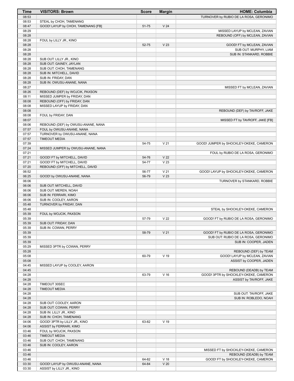| Time           | <b>VISITORS: Brown</b>                           | <b>Score</b>   | <b>Margin</b>                      | <b>HOME: Columbia</b>                   |
|----------------|--------------------------------------------------|----------------|------------------------------------|-----------------------------------------|
| 08:53          |                                                  |                |                                    | TURNOVER by RUBIO DE LA ROSA, GERONIMO  |
| 08:53          | STEAL by CHOH, TAMENANG                          |                |                                    |                                         |
| 08:47          | GOOD! LAYUP by CHOH, TAMENANG [FB]               | 51-75          | V <sub>24</sub>                    |                                         |
| 08:29          |                                                  |                |                                    | MISSED LAYUP by MCLEAN, ZAVIAN          |
| 08:28          |                                                  |                |                                    | REBOUND (OFF) by MCLEAN, ZAVIAN         |
| 08:28          | FOUL by LILLY JR., KINO                          |                |                                    |                                         |
| 08:28          |                                                  | 52-75          | V <sub>23</sub>                    | GOOD! FT by MCLEAN, ZAVIAN              |
| 08:28          |                                                  |                |                                    | SUB OUT: MURPHY, LIAM                   |
| 08:28          |                                                  |                |                                    | SUB IN: STANKARD, ROBBIE                |
| 08:28          | SUB OUT: LILLY JR., KINO                         |                |                                    |                                         |
| 08:28          | SUB OUT: GAINEY, JAYLAN                          |                |                                    |                                         |
| 08:28          | SUB OUT: CHOH, TAMENANG                          |                |                                    |                                         |
| 08:28          | SUB IN: MITCHELL, DAVID                          |                |                                    |                                         |
| 08:28          | SUB IN: FRIDAY, DAN                              |                |                                    |                                         |
| 08:28          | SUB IN: OWUSU-ANANE, NANA                        |                |                                    |                                         |
| 08:27          |                                                  |                |                                    | MISSED FT by MCLEAN, ZAVIAN             |
| 08:26          | REBOUND (DEF) by WOJCIK, PAXSON                  |                |                                    |                                         |
| 08:11          | MISSED JUMPER by FRIDAY, DAN                     |                |                                    |                                         |
| 08:08          | REBOUND (OFF) by FRIDAY, DAN                     |                |                                    |                                         |
| 08:08          | MISSED LAYUP by FRIDAY, DAN                      |                |                                    |                                         |
| 08:08          |                                                  |                |                                    | REBOUND (DEF) by TAVROFF, JAKE          |
| 08:08          | FOUL by FRIDAY, DAN                              |                |                                    |                                         |
| 08:07          |                                                  |                |                                    | MISSED FT by TAVROFF, JAKE [FB]         |
| 08:06          | REBOUND (DEF) by OWUSU-ANANE, NANA               |                |                                    |                                         |
| 07:57          | FOUL by OWUSU-ANANE, NANA                        |                |                                    |                                         |
| 07:57          | TURNOVER by OWUSU-ANANE, NANA                    |                |                                    |                                         |
| 07:57          | <b>TIMEOUT MEDIA</b>                             |                |                                    |                                         |
| 07:39          |                                                  | 54-75          | V <sub>21</sub>                    | GOOD! JUMPER by SHOCKLEY-OKEKE, CAMERON |
| 07:24          | MISSED JUMPER by OWUSU-ANANE, NANA               |                |                                    |                                         |
| 07:21          |                                                  |                |                                    | FOUL by RUBIO DE LA ROSA, GERONIMO      |
| 07:21          | GOOD! FT by MITCHELL, DAVID                      | 54-76          | V <sub>22</sub>                    |                                         |
| 07:21          | GOOD! FT by MITCHELL, DAVID                      | 54-77          | V <sub>23</sub>                    |                                         |
| 07:20          | REBOUND (OFF) by MITCHELL, DAVID                 |                |                                    |                                         |
| 06:52<br>06:25 |                                                  | 56-77<br>56-79 | V <sub>21</sub><br>V <sub>23</sub> | GOOD! LAYUP by SHOCKLEY-OKEKE, CAMERON  |
| 06:06          | GOOD! by OWUSU-ANANE, NANA                       |                |                                    |                                         |
| 06:06          |                                                  |                |                                    | TURNOVER by STANKARD, ROBBIE            |
| 06:06          | SUB OUT: MITCHELL, DAVID<br>SUB OUT: MEREN, NOAH |                |                                    |                                         |
| 06:06          | SUB IN: FERRARI, KIMO                            |                |                                    |                                         |
| 06:06          | SUB IN: COOLEY, AARON                            |                |                                    |                                         |
| 05:48          | TURNOVER by FRIDAY, DAN                          |                |                                    |                                         |
| 05:48          |                                                  |                |                                    | STEAL by SHOCKLEY-OKEKE, CAMERON        |
| 05:39          | FOUL by WOJCIK, PAXSON                           |                |                                    |                                         |
| 05:39          |                                                  | 57-79          | V <sub>22</sub>                    | GOOD! FT by RUBIO DE LA ROSA, GERONIMO  |
| 05:39          | SUB OUT: FRIDAY, DAN                             |                |                                    |                                         |
| 05:39          | SUB IN: COWAN, PERRY                             |                |                                    |                                         |
| 05:39          |                                                  | 58-79          | V <sub>21</sub>                    | GOOD! FT by RUBIO DE LA ROSA, GERONIMO  |
| 05:39          |                                                  |                |                                    | SUB OUT: RUBIO DE LA ROSA, GERONIMO     |
| 05:39          |                                                  |                |                                    | SUB IN: COOPER, JADEN                   |
| 05:29          | MISSED 3PTR by COWAN, PERRY                      |                |                                    |                                         |
| 05:28          |                                                  |                |                                    | REBOUND (DEF) by TEAM                   |
| 05:08          |                                                  | 60-79          | V 19                               | GOOD! LAYUP by MCLEAN, ZAVIAN           |
| 05:08          |                                                  |                |                                    | ASSIST by COOPER, JADEN                 |
| 04:45          | MISSED LAYUP by COOLEY, AARON                    |                |                                    |                                         |
| 04:45          |                                                  |                |                                    | REBOUND (DEADB) by TEAM                 |
| 04:28          |                                                  | 63-79          | V <sub>16</sub>                    | GOOD! 3PTR by SHOCKLEY-OKEKE, CAMERON   |
| 04:28          |                                                  |                |                                    | ASSIST by TAVROFF, JAKE                 |
| 04:28          | TIMEOUT 30SEC                                    |                |                                    |                                         |
| 04:28          | <b>TIMEOUT MEDIA</b>                             |                |                                    |                                         |
| 04:28          |                                                  |                |                                    | SUB OUT: TAVROFF, JAKE                  |
| 04:28          |                                                  |                |                                    | SUB IN: ROBLEDO, NOAH                   |
| 04:28          | SUB OUT: COOLEY, AARON                           |                |                                    |                                         |
| 04:28          | SUB OUT: COWAN, PERRY                            |                |                                    |                                         |
| 04:28          | SUB IN: LILLY JR., KINO                          |                |                                    |                                         |
| 04:28          | SUB IN: CHOH, TAMENANG                           |                |                                    |                                         |
| 04:06          | GOOD! 3PTR by LILLY JR., KINO                    | 63-82          | $V$ 19                             |                                         |
| 04:06          | ASSIST by FERRARI, KIMO                          |                |                                    |                                         |
| 03:46          | FOUL by WOJCIK, PAXSON                           |                |                                    |                                         |
| 03:46          | <b>TIMEOUT MEDIA</b>                             |                |                                    |                                         |
| 03:46          | SUB OUT: CHOH, TAMENANG                          |                |                                    |                                         |
| 03:46          | SUB IN: COOLEY, AARON                            |                |                                    |                                         |
| 03:46          |                                                  |                |                                    | MISSED FT by SHOCKLEY-OKEKE, CAMERON    |
| 03:46          |                                                  |                |                                    | REBOUND (DEADB) by TEAM                 |
| 03:46          |                                                  | 64-82          | V <sub>18</sub>                    | GOOD! FT by SHOCKLEY-OKEKE, CAMERON     |
| 03:30          | GOOD! LAYUP by OWUSU-ANANE, NANA                 | 64-84          | V <sub>20</sub>                    |                                         |
| 03:30          | ASSIST by LILLY JR., KINO                        |                |                                    |                                         |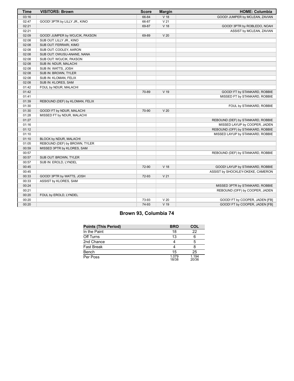| <b>Time</b> | <b>VISITORS: Brown</b>         | <b>Score</b> | <b>Margin</b>   | <b>HOME: Columbia</b>             |
|-------------|--------------------------------|--------------|-----------------|-----------------------------------|
| 03:16       |                                | 66-84        | V 18            | GOOD! JUMPER by MCLEAN, ZAVIAN    |
| 02:47       | GOOD! 3PTR by LILLY JR., KINO  | 66-87        | V <sub>21</sub> |                                   |
| 02:21       |                                | 69-87        | V <sub>18</sub> | GOOD! 3PTR by ROBLEDO, NOAH       |
| 02:21       |                                |              |                 | ASSIST by MCLEAN, ZAVIAN          |
| 02:09       | GOOD! JUMPER by WOJCIK, PAXSON | 69-89        | V <sub>20</sub> |                                   |
| 02:08       | SUB OUT: LILLY JR., KINO       |              |                 |                                   |
| 02:08       | SUB OUT: FERRARI, KIMO         |              |                 |                                   |
| 02:08       | SUB OUT: COOLEY, AARON         |              |                 |                                   |
| 02:08       | SUB OUT: OWUSU-ANANE, NANA     |              |                 |                                   |
| 02:08       | SUB OUT: WOJCIK, PAXSON        |              |                 |                                   |
| 02:08       | SUB IN: NDUR, MALACHI          |              |                 |                                   |
| 02:08       | SUB IN: WATTS, JOSH            |              |                 |                                   |
| 02:08       | SUB IN: BROWN, TYLER           |              |                 |                                   |
| 02:08       | SUB IN: KLOMAN, FELIX          |              |                 |                                   |
| 02:08       | SUB IN: KLORES, SAM            |              |                 |                                   |
| 01:42       | FOUL by NDUR, MALACHI          |              |                 |                                   |
| 01:42       |                                | 70-89        | V <sub>19</sub> | GOOD! FT by STANKARD, ROBBIE      |
| 01:41       |                                |              |                 | MISSED FT by STANKARD, ROBBIE     |
| 01:39       | REBOUND (DEF) by KLOMAN, FELIX |              |                 |                                   |
| 01:30       |                                |              |                 | FOUL by STANKARD, ROBBIE          |
| 01:30       | GOOD! FT by NDUR, MALACHI      | 70-90        | V <sub>20</sub> |                                   |
| 01:28       | MISSED FT by NDUR, MALACHI     |              |                 |                                   |
| 01:27       |                                |              |                 | REBOUND (DEF) by STANKARD, ROBBIE |
| 01:16       |                                |              |                 | MISSED LAYUP by COOPER, JADEN     |
| 01:12       |                                |              |                 | REBOUND (OFF) by STANKARD, ROBBIE |
| 01:10       |                                |              |                 | MISSED LAYUP by STANKARD, ROBBIE  |
| 01:10       | BLOCK by NDUR, MALACHI         |              |                 |                                   |
| 01:05       | REBOUND (DEF) by BROWN, TYLER  |              |                 |                                   |
| 00:59       | MISSED 3PTR by KLORES, SAM     |              |                 |                                   |
| 00:57       |                                |              |                 | REBOUND (DEF) by STANKARD, ROBBIE |
| 00:57       | SUB OUT: BROWN, TYLER          |              |                 |                                   |
| 00:57       | SUB IN: EROLD, LYNDEL          |              |                 |                                   |
| 00:45       |                                | 72-90        | V <sub>18</sub> | GOOD! LAYUP by STANKARD, ROBBIE   |
| 00:45       |                                |              |                 | ASSIST by SHOCKLEY-OKEKE, CAMERON |
| 00:33       | GOOD! 3PTR by WATTS, JOSH      | 72-93        | V <sub>21</sub> |                                   |
| 00:33       | ASSIST by KLORES, SAM          |              |                 |                                   |
| 00:24       |                                |              |                 | MISSED 3PTR by STANKARD, ROBBIE   |
| 00:21       |                                |              |                 | REBOUND (OFF) by COOPER, JADEN    |
| 00:20       | FOUL by EROLD, LYNDEL          |              |                 |                                   |
| 00:20       |                                | 73-93        | V <sub>20</sub> | GOOD! FT by COOPER, JADEN [FB]    |
| 00:20       |                                | 74-93        | V 19            | GOOD! FT by COOPER, JADEN [FB]    |

# **Brown 93, Columbia 74**

| <b>Points (This Period)</b> | <b>BRO</b>     | COL            |
|-----------------------------|----------------|----------------|
| In the Paint                | 18             | 22             |
| Off Turns                   | 13             |                |
| 2nd Chance                  |                |                |
| <b>Fast Break</b>           |                |                |
| Bench                       | 15             | 25             |
| Per Poss                    | 1.079<br>18/38 | 1.194<br>20/36 |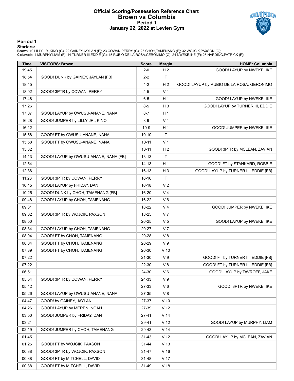#### **Official Scoring/Possession Reference Chart Brown vs Columbia Period 1 January 22, 2022 at Levien Gym**



#### **Period 1**

| <b>Time</b> | <b>VISITORS: Brown</b>                | <b>Score</b> | <b>Margin</b>   | <b>HOME: Columbia</b>                     |
|-------------|---------------------------------------|--------------|-----------------|-------------------------------------------|
| 19:45       |                                       | $2 - 0$      | H <sub>2</sub>  | GOOD! LAYUP by NWEKE, IKE                 |
| 18:54       | GOOD! DUNK by GAINEY, JAYLAN [FB]     | $2 - 2$      | $\mathsf{T}$    |                                           |
| 18:45       |                                       | $4 - 2$      | H <sub>2</sub>  | GOOD! LAYUP by RUBIO DE LA ROSA, GERONIMO |
| 18:02       | GOOD! 3PTR by COWAN, PERRY            | $4 - 5$      | V <sub>1</sub>  |                                           |
| 17:48       |                                       | $6-5$        | H <sub>1</sub>  | GOOD! LAYUP by NWEKE, IKE                 |
| 17:26       |                                       | $8-5$        | H <sub>3</sub>  | GOOD! LAYUP by TURNER III, EDDIE          |
| 17:07       | GOOD! LAYUP by OWUSU-ANANE, NANA      | $8 - 7$      | H <sub>1</sub>  |                                           |
| 16:28       | GOOD! JUMPER by LILLY JR., KINO       | $8-9$        | V <sub>1</sub>  |                                           |
| 16:12       |                                       | $10-9$       | H <sub>1</sub>  | GOOD! JUMPER by NWEKE, IKE                |
| 15:58       | GOOD! FT by OWUSU-ANANE, NANA         | $10 - 10$    | $\mathsf{T}$    |                                           |
| 15:58       | GOOD! FT by OWUSU-ANANE, NANA         | $10 - 11$    | V <sub>1</sub>  |                                           |
| 15:32       |                                       | $13 - 11$    | H <sub>2</sub>  | GOOD! 3PTR by MCLEAN, ZAVIAN              |
| 14:13       | GOOD! LAYUP by OWUSU-ANANE, NANA [FB] | $13 - 13$    | T               |                                           |
| 12:54       |                                       | $14 - 13$    | H <sub>1</sub>  | GOOD! FT by STANKARD, ROBBIE              |
| 12:36       |                                       | $16 - 13$    | $H_3$           | GOOD! LAYUP by TURNER III, EDDIE [FB]     |
| 11:26       | GOOD! 3PTR by COWAN, PERRY            | 16-16        | $\mathsf T$     |                                           |
| 10:45       | GOOD! LAYUP by FRIDAY, DAN            | $16 - 18$    | V <sub>2</sub>  |                                           |
| 10:25       | GOOD! DUNK by CHOH, TAMENANG [FB]     | 16-20        | V <sub>4</sub>  |                                           |
| 09:48       | GOOD! LAYUP by CHOH, TAMENANG         | 16-22        | $V_6$           |                                           |
| 09:31       |                                       | 18-22        | V <sub>4</sub>  | GOOD! JUMPER by NWEKE, IKE                |
| 09:02       | GOOD! 3PTR by WOJCIK, PAXSON          | 18-25        | V <sub>7</sub>  |                                           |
| 08:50       |                                       | 20-25        | V <sub>5</sub>  | GOOD! LAYUP by NWEKE, IKE                 |
| 08:34       | GOOD! LAYUP by CHOH, TAMENANG         | 20-27        | V <sub>7</sub>  |                                           |
| 08:04       | GOOD! FT by CHOH, TAMENANG            | 20-28        | V8              |                                           |
| 08:04       | GOOD! FT by CHOH, TAMENANG            | 20-29        | V <sub>9</sub>  |                                           |
| 07:39       | GOOD! FT by CHOH, TAMENANG            | 20-30        | $V$ 10          |                                           |
| 07:22       |                                       | 21-30        | V <sub>9</sub>  | GOOD! FT by TURNER III, EDDIE [FB]        |
| 07:22       |                                       | 22-30        | V8              | GOOD! FT by TURNER III, EDDIE [FB]        |
| 06:51       |                                       | 24-30        | $V_6$           | GOOD! LAYUP by TAVROFF, JAKE              |
| 05:54       | GOOD! 3PTR by COWAN, PERRY            | 24-33        | V <sub>9</sub>  |                                           |
| 05:42       |                                       | 27-33        | $V_6$           | GOOD! 3PTR by NWEKE, IKE                  |
| 05:26       | GOOD! LAYUP by OWUSU-ANANE, NANA      | 27-35        | V8              |                                           |
| 04:47       | GOOD! by GAINEY, JAYLAN               | 27-37        | $V$ 10          |                                           |
| 04:26       | GOOD! LAYUP by MEREN, NOAH            | 27-39        | V <sub>12</sub> |                                           |
| 03:50       | GOOD! JUMPER by FRIDAY, DAN           | 27-41        | V <sub>14</sub> |                                           |
| 03:21       |                                       | 29-41        | V <sub>12</sub> | GOOD! LAYUP by MURPHY, LIAM               |
| 02:19       | GOOD! JUMPER by CHOH, TAMENANG        | 29-43        | V <sub>14</sub> |                                           |
| 01:45       |                                       | $31 - 43$    | V <sub>12</sub> | GOOD! LAYUP by MCLEAN, ZAVIAN             |
| 01:25       | GOOD! FT by WOJCIK, PAXSON            | $31 - 44$    | V <sub>13</sub> |                                           |
| 00:38       | GOOD! 3PTR by WOJCIK, PAXSON          | 31-47        | V 16            |                                           |
| 00:38       | GOOD! FT by MITCHELL, DAVID           | $31 - 48$    | V 17            |                                           |
|             |                                       |              |                 |                                           |
| 00:38       | GOOD! FT by MITCHELL, DAVID           | 31-49        | V 18            |                                           |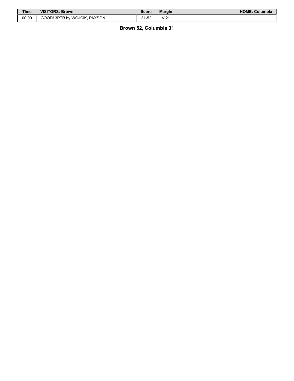| Time  | <b>VISITORS: Brown</b>       | Score           | <b>Margin</b>           | <b>HOME: Columbia</b> |
|-------|------------------------------|-----------------|-------------------------|-----------------------|
| 00:00 | GOOD! 3PTR by WOJCIK, PAXSON | $1 - 52$<br>ດ 4 | $\sqrt{2}$<br>v<br>ـ∠ ' |                       |

**Brown 52, Columbia 31**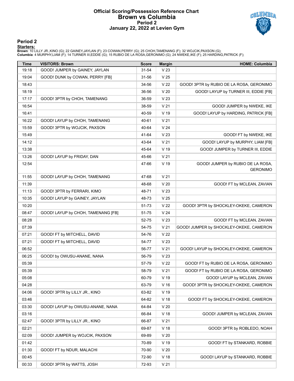#### **Official Scoring/Possession Reference Chart Brown vs Columbia Period 2 January 22, 2022 at Levien Gym**



#### **Period 2**

| <b>Time</b> | <b>VISITORS: Brown</b>             | <b>Score</b> | <b>Margin</b>   | <b>HOME: Columbia</b>                                |
|-------------|------------------------------------|--------------|-----------------|------------------------------------------------------|
| 19:18       | GOOD! JUMPER by GAINEY, JAYLAN     | $31 - 54$    | V <sub>23</sub> |                                                      |
| 19:04       | GOOD! DUNK by COWAN, PERRY [FB]    | 31-56        | V <sub>25</sub> |                                                      |
| 18:43       |                                    | 34-56        | V <sub>22</sub> | GOOD! 3PTR by RUBIO DE LA ROSA, GERONIMO             |
| 18:19       |                                    | 36-56        | V <sub>20</sub> | GOOD! LAYUP by TURNER III, EDDIE [FB]                |
| 17:17       | GOOD! 3PTR by CHOH, TAMENANG       | 36-59        | V <sub>23</sub> |                                                      |
| 16:54       |                                    | 38-59        | V <sub>21</sub> | GOOD! JUMPER by NWEKE, IKE                           |
| 16:41       |                                    | 40-59        | V 19            | GOOD! LAYUP by HARDING, PATRICK [FB]                 |
| 16:22       | GOOD! LAYUP by CHOH, TAMENANG      | 40-61        | V <sub>21</sub> |                                                      |
| 15:59       | GOOD! 3PTR by WOJCIK, PAXSON       | 40-64        | V <sub>24</sub> |                                                      |
| 15:49       |                                    | 41-64        | V <sub>23</sub> | GOOD! FT by NWEKE, IKE                               |
| 14:12       |                                    | 43-64        | V <sub>21</sub> | GOOD! LAYUP by MURPHY, LIAM [FB]                     |
| 13:38       |                                    | 45-64        | V 19            | GOOD! JUMPER by TURNER III, EDDIE                    |
| 13:26       | GOOD! LAYUP by FRIDAY, DAN         | 45-66        | V <sub>21</sub> |                                                      |
| 12:54       |                                    | 47-66        | V 19            | GOOD! JUMPER by RUBIO DE LA ROSA,<br><b>GERONIMO</b> |
| 11:55       | GOOD! LAYUP by CHOH, TAMENANG      | 47-68        | V <sub>21</sub> |                                                      |
| 11:39       |                                    | 48-68        | V <sub>20</sub> | GOOD! FT by MCLEAN, ZAVIAN                           |
| 11:13       | GOOD! 3PTR by FERRARI, KIMO        | 48-71        | V <sub>23</sub> |                                                      |
| 10:35       | GOOD! LAYUP by GAINEY, JAYLAN      | 48-73        | V <sub>25</sub> |                                                      |
| 10:20       |                                    | 51-73        | V <sub>22</sub> | GOOD! 3PTR by SHOCKLEY-OKEKE, CAMERON                |
| 08:47       | GOOD! LAYUP by CHOH, TAMENANG [FB] | 51-75        | V <sub>24</sub> |                                                      |
| 08:28       |                                    | 52-75        | V <sub>23</sub> | GOOD! FT by MCLEAN, ZAVIAN                           |
| 07:39       |                                    | 54-75        | V <sub>21</sub> | GOOD! JUMPER by SHOCKLEY-OKEKE, CAMERON              |
| 07:21       | GOOD! FT by MITCHELL, DAVID        | 54-76        | V <sub>22</sub> |                                                      |
| 07:21       | GOOD! FT by MITCHELL, DAVID        | 54-77        | V <sub>23</sub> |                                                      |
| 06:52       |                                    | 56-77        | V <sub>21</sub> | GOOD! LAYUP by SHOCKLEY-OKEKE, CAMERON               |
| 06:25       | GOOD! by OWUSU-ANANE, NANA         | 56-79        | V <sub>23</sub> |                                                      |
| 05:39       |                                    | 57-79        | V <sub>22</sub> | GOOD! FT by RUBIO DE LA ROSA, GERONIMO               |
| 05:39       |                                    | 58-79        | V <sub>21</sub> | GOOD! FT by RUBIO DE LA ROSA, GERONIMO               |
| 05:08       |                                    | 60-79        | $V$ 19          | GOOD! LAYUP by MCLEAN, ZAVIAN                        |
| 04:28       |                                    | 63-79        | V <sub>16</sub> | GOOD! 3PTR by SHOCKLEY-OKEKE, CAMERON                |
| 04:06       | GOOD! 3PTR by LILLY JR., KINO      | 63-82        | $V$ 19          |                                                      |
| 03:46       |                                    | 64-82        | V <sub>18</sub> | GOOD! FT by SHOCKLEY-OKEKE, CAMERON                  |
| 03:30       | GOOD! LAYUP by OWUSU-ANANE, NANA   | 64-84        | V <sub>20</sub> |                                                      |
| 03:16       |                                    | 66-84        | V <sub>18</sub> | GOOD! JUMPER by MCLEAN, ZAVIAN                       |
| 02:47       | GOOD! 3PTR by LILLY JR., KINO      | 66-87        | V <sub>21</sub> |                                                      |
| 02:21       |                                    | 69-87        | V <sub>18</sub> | GOOD! 3PTR by ROBLEDO, NOAH                          |
| 02:09       | GOOD! JUMPER by WOJCIK, PAXSON     | 69-89        | V <sub>20</sub> |                                                      |
| 01:42       |                                    | 70-89        | $V$ 19          | GOOD! FT by STANKARD, ROBBIE                         |
| 01:30       | GOOD! FT by NDUR, MALACHI          | 70-90        | V <sub>20</sub> |                                                      |
| 00:45       |                                    | 72-90        | V <sub>18</sub> | GOOD! LAYUP by STANKARD, ROBBIE                      |
| 00:33       | GOOD! 3PTR by WATTS, JOSH          | 72-93        | V <sub>21</sub> |                                                      |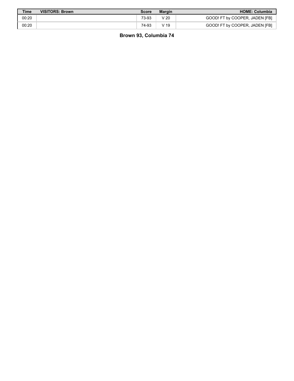| Time  | <b>VISITORS: Brown</b> | Score | <b>Margin</b> | <b>HOME: Columbia</b>          |
|-------|------------------------|-------|---------------|--------------------------------|
| 00:20 |                        | 73-93 | / 20          | GOOD! FT by COOPER, JADEN [FB] |
| 00:20 |                        | 74-93 | √ 19          | GOOD! FT by COOPER, JADEN [FB] |

**Brown 93, Columbia 74**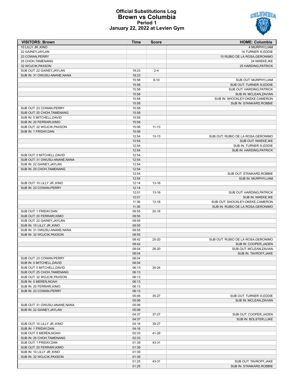

#### **Official Substitutions Log Brown vs Columbia Period 1 January 22, 2022 at Levien Gym**

| <b>VISITORS: Brown</b>                                      | Time           | <b>Score</b> | <b>HOME: Columbia</b>               |
|-------------------------------------------------------------|----------------|--------------|-------------------------------------|
| 10 LILLY JR., KINO                                          |                |              | 4 MURPHY, LIAM                      |
| 22 GAINEY, JAYLAN                                           |                |              | <b>14 TURNER III, EDDIE</b>         |
| 23 COWAN, PERRY                                             |                |              | 15 RUBIO DE LA ROSA, GERONIMO       |
| 25 CHOH, TAMENANG                                           |                |              | 24 NWEKE, IKE                       |
| 32 WOJCIK, PAXSON                                           |                |              | 25 HARDING, PATRICK                 |
| SUB OUT: 22 GAINEY, JAYLAN                                  | 18:23          | $2 - 4$      |                                     |
| SUB IN: 31 OWUSU-ANANE, NANA                                | 18:23<br>15:58 | $9 - 10$     | SUB OUT: MURPHY, LIAM               |
|                                                             | 15:58          |              | SUB OUT: TURNER III, EDDIE          |
|                                                             | 15:58          |              | SUB OUT: HARDING PATRICK            |
|                                                             | 15:58          |              | SUB IN: MCLEAN, ZAVIAN              |
|                                                             | 15:58          |              | SUB IN: SHOCKLEY-OKEKE, CAMERON     |
|                                                             | 15:58          |              | SUB IN: STANKARD, ROBBIE            |
| SUB OUT: 23 COWAN, PERRY                                    | 15:58          |              |                                     |
| SUB OUT: 25 CHOH, TAMENANG                                  | 15:58          |              |                                     |
| SUB IN: 0 MITCHELL, DAVID                                   | 15:58          |              |                                     |
| SUB IN: 20 FERRARI, KIMO                                    | 15:58          |              |                                     |
| SUB OUT: 32 WOJCIK, PAXSON                                  | 15:06          | $11 - 13$    |                                     |
| SUB IN: 1 FRIDAY, DAN                                       | 15:06          |              |                                     |
|                                                             | 12:54          | $13 - 13$    | SUB OUT: RUBIO DE LA ROSA, GERONIMO |
|                                                             | 12:54          |              | SUB OUT: NWEKE, IKE                 |
|                                                             | 12:54          |              | SUB IN: TURNER III.EDDIE            |
|                                                             | 12:54          |              | SUB IN: HARDING, PATRICK            |
| SUB OUT: 0 MITCHELL, DAVID<br>SUB OUT: 31 OWUSU-ANANE, NANA | 12:54<br>12:54 |              |                                     |
| SUB IN: 22 GAINEY, JAYLAN                                   | 12:54          |              |                                     |
| SUB IN: 25 CHOH, TAMENANG                                   | 12:54          |              |                                     |
|                                                             | 12:54          |              | SUB OUT: STANKARD, ROBBIE           |
|                                                             | 12:54          |              | SUB IN: MURPHY, LIAM                |
| SUB OUT: 10 LILLY JR., KINO                                 | 12:14          | 13-16        |                                     |
| SUB IN: 23 COWAN, PERRY                                     | 12:14          |              |                                     |
|                                                             | 12:01          | 13-16        | SUB OUT: HARDING, PATRICK           |
|                                                             | 12:01          |              | SUB IN: NWEKE, IKE                  |
|                                                             | 11:36          | 13-16        | SUB OUT: SHOCKLEY-OKEKE, CAMERON    |
|                                                             | 11:36          |              | SUB IN: RUBIO DE LA ROSA, GERONIMO  |
| SUB OUT: 1 FRIDAY, DAN                                      | 09:55          | $20 - 16$    |                                     |
| SUB OUT: 20 FERRARI, KIMO                                   | 09:55          |              |                                     |
| SUB OUT: 22 GAINEY, JAYLAN                                  | 09:55          |              |                                     |
| SUB IN: 10 LILLY JR., KINO                                  | 09:55          |              |                                     |
| SUB IN: 31 OWUSU-ANANE, NANA<br>SUB IN: 32 WOJCIK, PAXSON   | 09:55<br>09:55 |              |                                     |
|                                                             | 08:42          | 25-20        | SUB OUT: RUBIO DE LA ROSA, GERONIMO |
|                                                             | 08:42          |              | SUB IN: COOPER, JADEN               |
|                                                             | 08:04          | 28-20        | SUB OUT: MCLEAN, ZAVIAN             |
|                                                             | 08:04          |              | SUB IN: TAVROFF, JAKE               |
| SUB OUT: 23 COWAN, PERRY                                    | 08:04          |              |                                     |
| SUB IN: 0 MITCHELL, DAVID                                   | 08:04          |              |                                     |
| SUB OUT: 0 MITCHELL, DAVID                                  | 06:13          | $30 - 24$    |                                     |
| SUB OUT: 25 CHOH, TAMENANG                                  | 06:13          |              |                                     |
| SUB OUT: 32 WOJCIK, PAXSON                                  | 06:13          |              |                                     |
| SUB IN: 5 MEREN, NOAH                                       | 06:13          |              |                                     |
| SUB IN: 20 FERRARI, KIMO                                    | 06:13          |              |                                     |
| SUB IN: 23 COWAN, PERRY                                     | 06:13          |              |                                     |
|                                                             | 05:06          | 35-27        | SUB OUT: TURNER III, EDDIE          |
|                                                             | 05:06          |              | SUB IN: MCLEAN, ZAVIAN              |
| SUB OUT: 31 OWUSU-ANANE, NANA                               | 05:06          |              |                                     |
| SUB IN: 22 GAINEY, JAYLAN                                   | 05:06<br>04:37 | 37-27        | SUB OUT: COOPER, JADEN              |
|                                                             | 04:37          |              | SUB IN: BOLSTER, LUKE               |
| SUB OUT: 10 LILLY JR., KINO                                 | 04:16          | 39-27        |                                     |
| SUB IN: 1 FRIDAY, DAN                                       | 04:16          |              |                                     |
| SUB OUT: 5 MEREN, NOAH                                      | 02:33          | 41-29        |                                     |
| SUB IN: 25 CHOH, TAMENANG                                   | 02:33          |              |                                     |
| SUB OUT: 1 FRIDAY, DAN                                      | 01:39          | 43-31        |                                     |
| SUB OUT: 20 FERRARI, KIMO                                   | 01:39          |              |                                     |
| SUB IN: 10 LILLY JR., KINO                                  | 01:39          |              |                                     |
| SUB IN: 32 WOJCIK, PAXSON                                   | 01:39          |              |                                     |
|                                                             | 01:25          | 43-31        | SUB OUT: TAVROFF, JAKE              |
|                                                             | 01:25          |              | SUB IN: STANKARD, ROBBIE            |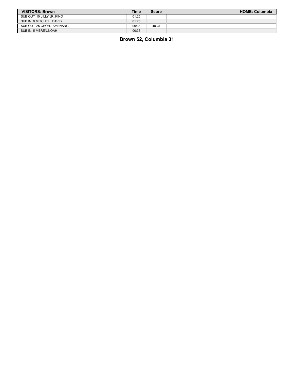| <b>VISITORS: Brown</b>     | Time  | <b>Score</b> | <b>HOME: Columbia</b> |
|----------------------------|-------|--------------|-----------------------|
| SUB OUT: 10 LILLY JR. KINO | 01:25 |              |                       |
| SUB IN: 0 MITCHELL.DAVID   | 01:25 |              |                       |
| SUB OUT: 25 CHOH. TAMENANG | 00:38 | 48-31        |                       |
| SUB IN: 5 MEREN.NOAH       | 00:38 |              |                       |

| Brown 52, Columbia 31 |  |  |  |  |
|-----------------------|--|--|--|--|
|-----------------------|--|--|--|--|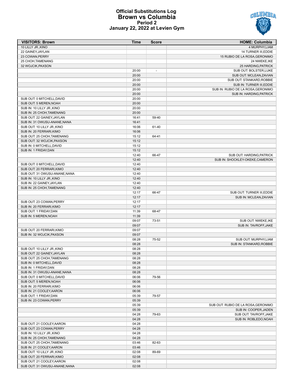

#### **Official Substitutions Log Brown vs Columbia Period 2 January 22, 2022 at Levien Gym**

| <b>VISITORS: Brown</b>        | Time  | <b>Score</b>             | <b>HOME: Columbia</b>               |
|-------------------------------|-------|--------------------------|-------------------------------------|
| 10 LILLY JR., KINO            |       |                          | 4 MURPHY, LIAM                      |
| 22 GAINEY, JAYLAN             |       |                          | 14 TURNER III, EDDIE                |
| 23 COWAN, PERRY               |       |                          | 15 RUBIO DE LA ROSA, GERONIMO       |
| 25 CHOH, TAMENANG             |       |                          | 24 NWEKE, IKE                       |
| 32 WOJCIK, PAXSON             |       |                          | 25 HARDING, PATRICK                 |
|                               | 20:00 | $\overline{\phantom{a}}$ | SUB OUT: BOLSTER, LUKE              |
|                               | 20:00 |                          | SUB OUT: MCLEAN, ZAVIAN             |
|                               | 20:00 |                          | SUB OUT: STANKARD, ROBBIE           |
|                               |       |                          |                                     |
|                               | 20:00 |                          | SUB IN: TURNER III, EDDIE           |
|                               | 20:00 |                          | SUB IN: RUBIO DE LA ROSA, GERONIMO  |
|                               | 20:00 |                          | SUB IN: HARDING, PATRICK            |
| SUB OUT: 0 MITCHELL, DAVID    | 20:00 |                          |                                     |
| SUB OUT: 5 MEREN, NOAH        | 20:00 |                          |                                     |
| SUB IN: 10 LILLY JR., KINO    | 20:00 |                          |                                     |
| SUB IN: 25 CHOH, TAMENANG     | 20:00 |                          |                                     |
| SUB OUT: 22 GAINEY, JAYLAN    | 16:41 | 59-40                    |                                     |
| SUB IN: 31 OWUSU-ANANE, NANA  | 16:41 |                          |                                     |
| SUB OUT: 10 LILLY JR., KINO   | 16:06 | 61-40                    |                                     |
| SUB IN: 20 FERRARI, KIMO      | 16:06 |                          |                                     |
| SUB OUT: 25 CHOH, TAMENANG    | 15:12 | 64-41                    |                                     |
| SUB OUT: 32 WOJCIK, PAXSON    | 15:12 |                          |                                     |
| SUB IN: 0 MITCHELL, DAVID     | 15:12 |                          |                                     |
| SUB IN: 1 FRIDAY, DAN         | 15:12 |                          |                                     |
|                               | 12:40 | 66-47                    | SUB OUT: HARDING, PATRICK           |
|                               |       |                          |                                     |
|                               | 12:40 |                          | SUB IN: SHOCKLEY-OKEKE, CAMERON     |
| SUB OUT: 0 MITCHELL, DAVID    | 12:40 |                          |                                     |
| SUB OUT: 20 FERRARI, KIMO     | 12:40 |                          |                                     |
| SUB OUT: 31 OWUSU-ANANE.NANA  | 12:40 |                          |                                     |
| SUB IN: 10 LILLY JR., KINO    | 12:40 |                          |                                     |
| SUB IN: 22 GAINEY, JAYLAN     | 12:40 |                          |                                     |
| SUB IN: 25 CHOH, TAMENANG     | 12:40 |                          |                                     |
|                               | 12:17 | 66-47                    | SUB OUT: TURNER III, EDDIE          |
|                               | 12:17 |                          | SUB IN: MCLEAN, ZAVIAN              |
| SUB OUT: 23 COWAN, PERRY      | 12:17 |                          |                                     |
| SUB IN: 20 FERRARI, KIMO      | 12:17 |                          |                                     |
| SUB OUT: 1 FRIDAY, DAN        | 11:39 | 68-47                    |                                     |
| SUB IN: 5 MEREN, NOAH         | 11:39 |                          |                                     |
|                               | 09:07 | 73-51                    | SUB OUT: NWEKE, IKE                 |
|                               | 09:07 |                          | SUB IN: TAVROFF, JAKE               |
| SUB OUT: 20 FERRARI, KIMO     | 09:07 |                          |                                     |
| SUB IN: 32 WOJCIK, PAXSON     | 09:07 |                          |                                     |
|                               | 08:28 | 75-52                    | SUB OUT: MURPHY, LIAM               |
|                               | 08:28 |                          | <b>SUB IN: STANKARD.ROBBIE</b>      |
| SUB OUT: 10 LILLY JR., KINO   | 08:28 |                          |                                     |
| SUB OUT: 22 GAINEY, JAYLAN    | 08:28 |                          |                                     |
| SUB OUT: 25 CHOH, TAMENANG    | 08:28 |                          |                                     |
|                               |       |                          |                                     |
| SUB IN: 0 MITCHELL, DAVID     | 08:28 |                          |                                     |
| SUB IN: 1 FRIDAY, DAN         | 08:28 |                          |                                     |
| SUB IN: 31 OWUSU-ANANE, NANA  | 08:28 |                          |                                     |
| SUB OUT: 0 MITCHELL, DAVID    | 06:06 | 79-56                    |                                     |
| SUB OUT: 5 MEREN, NOAH        | 06:06 |                          |                                     |
| SUB IN: 20 FERRARI, KIMO      | 06:06 |                          |                                     |
| SUB IN: 21 COOLEY, AARON      | 06:06 |                          |                                     |
| SUB OUT: 1 FRIDAY, DAN        | 05:39 | 79-57                    |                                     |
| SUB IN: 23 COWAN, PERRY       | 05:39 |                          |                                     |
|                               | 05:39 |                          | SUB OUT: RUBIO DE LA ROSA, GERONIMO |
|                               | 05:39 |                          | SUB IN: COOPER, JADEN               |
|                               | 04:28 | 79-63                    | SUB OUT: TAVROFF, JAKE              |
|                               | 04:28 |                          | SUB IN: ROBLEDO, NOAH               |
| SUB OUT: 21 COOLEY, AARON     | 04:28 |                          |                                     |
| SUB OUT: 23 COWAN, PERRY      | 04:28 |                          |                                     |
| SUB IN: 10 LILLY JR., KINO    | 04:28 |                          |                                     |
| SUB IN: 25 CHOH, TAMENANG     | 04:28 |                          |                                     |
| SUB OUT: 25 CHOH, TAMENANG    | 03:46 | 82-63                    |                                     |
| SUB IN: 21 COOLEY, AARON      | 03:46 |                          |                                     |
| SUB OUT: 10 LILLY JR., KINO   | 02:08 | 89-69                    |                                     |
| SUB OUT: 20 FERRARI, KIMO     | 02:08 |                          |                                     |
| SUB OUT: 21 COOLEY, AARON     | 02:08 |                          |                                     |
| SUB OUT: 31 OWUSU-ANANE, NANA | 02:08 |                          |                                     |
|                               |       |                          |                                     |